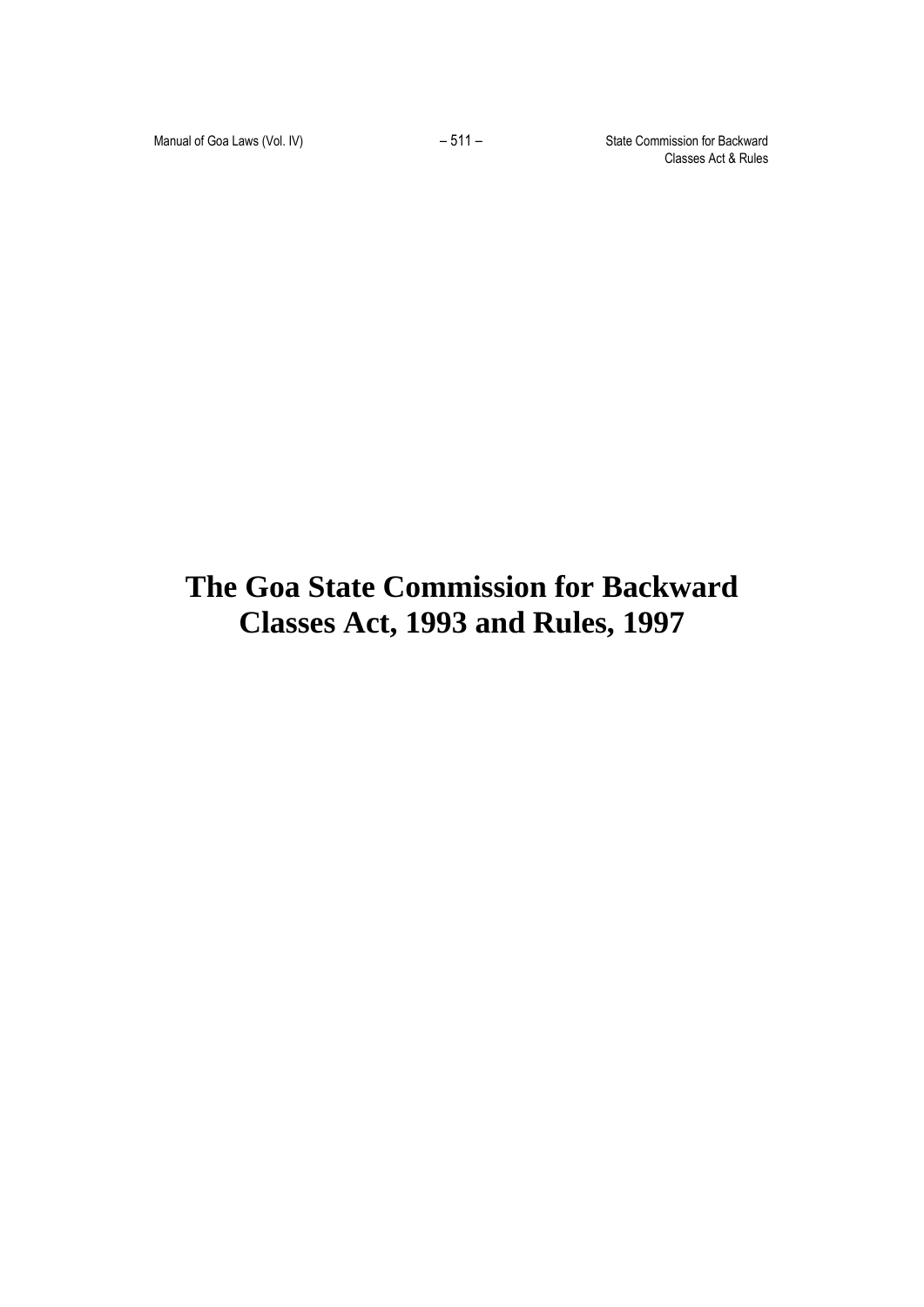# **The Goa State Commission for Backward Classes Act, 1993 and Rules, 1997**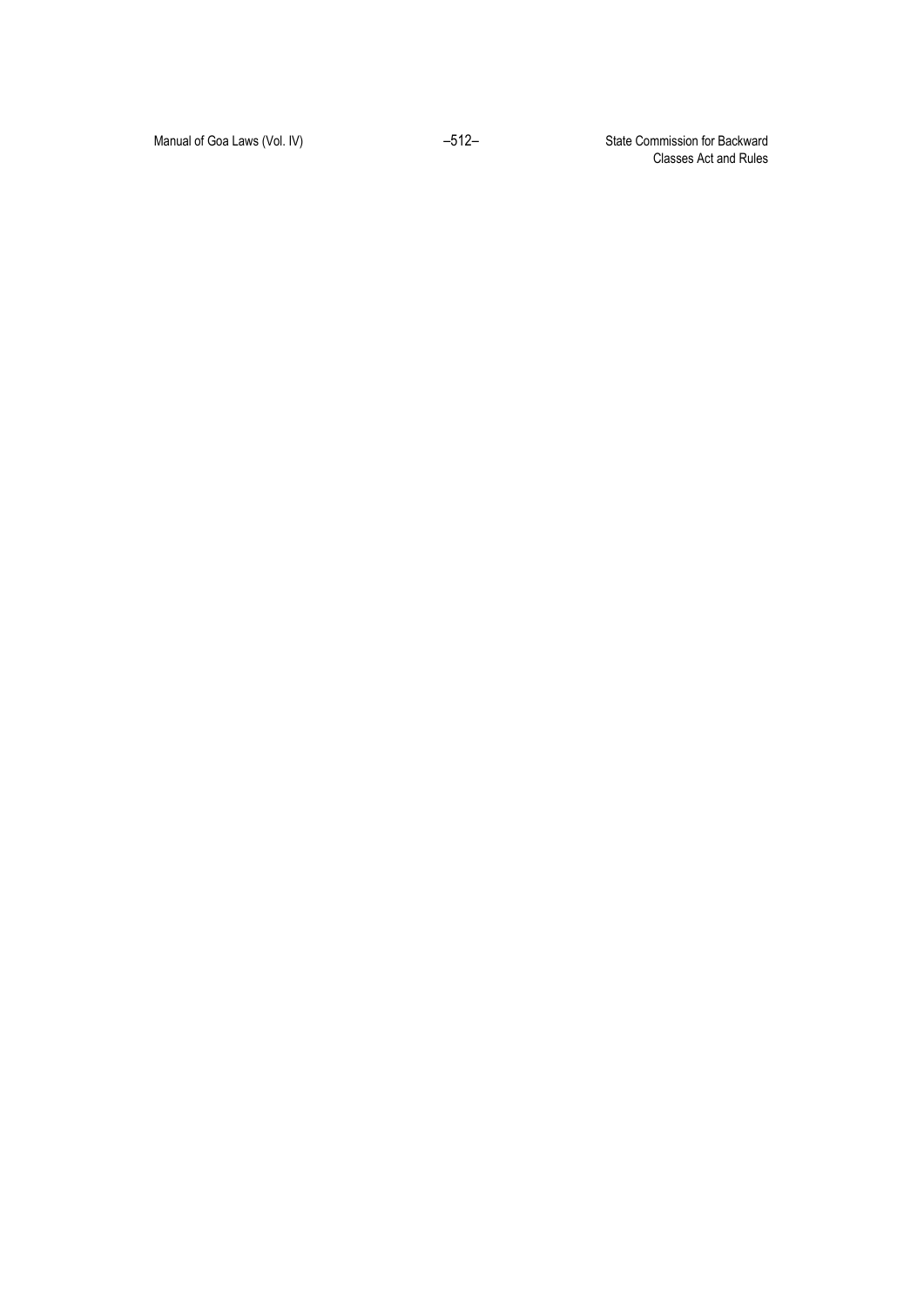Manual of Goa Laws (Vol. IV)

–512

**State Commission for Backward** Classes Act and Rules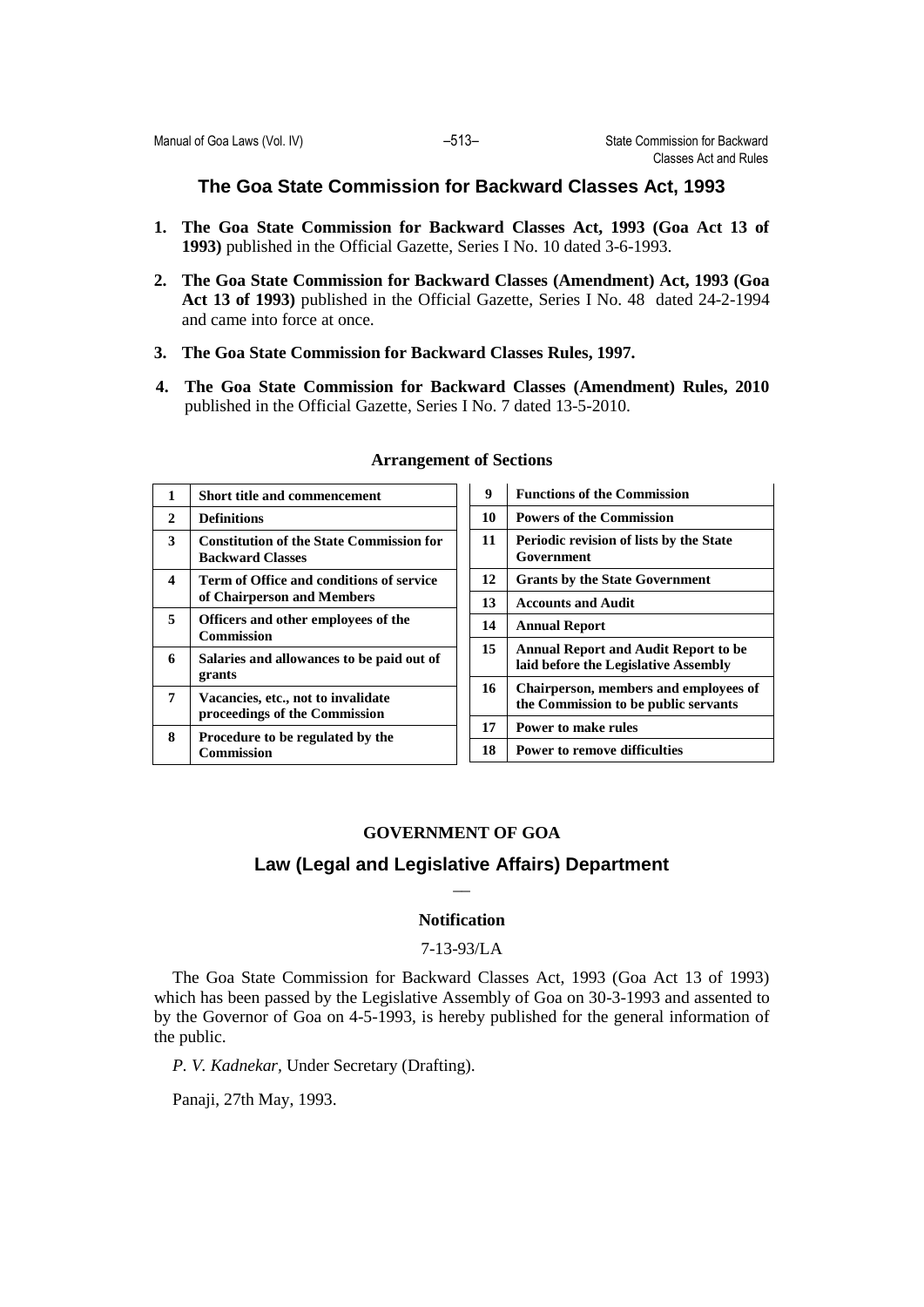# **The Goa State Commission for Backward Classes Act, 1993**

- **1. The Goa State Commission for Backward Classes Act, 1993 (Goa Act 13 of 1993)** published in the Official Gazette, Series I No. 10 dated 3-6-1993.
- **2. The Goa State Commission for Backward Classes (Amendment) Act, 1993 (Goa Act 13 of 1993)** published in the Official Gazette, Series I No. 48 dated 24-2-1994 and came into force at once.
- **3. The Goa State Commission for Backward Classes Rules, 1997.**
- **4. The Goa State Commission for Backward Classes (Amendment) Rules, 2010** published in the Official Gazette, Series I No. 7 dated 13-5-2010.

|                         | <b>Short title and commencement</b>                                        | 9  | <b>Functions of the Commission</b>                                                  |
|-------------------------|----------------------------------------------------------------------------|----|-------------------------------------------------------------------------------------|
| $\mathbf{2}$            | <b>Definitions</b>                                                         | 10 | <b>Powers of the Commission</b>                                                     |
| 3                       | <b>Constitution of the State Commission for</b><br><b>Backward Classes</b> | 11 | <b>Periodic revision of lists by the State</b><br>Government                        |
| $\overline{\mathbf{4}}$ | Term of Office and conditions of service                                   | 12 | <b>Grants by the State Government</b>                                               |
|                         | of Chairperson and Members                                                 | 13 | <b>Accounts and Audit</b>                                                           |
| 5                       | Officers and other employees of the<br><b>Commission</b>                   | 14 | <b>Annual Report</b>                                                                |
| 6                       | Salaries and allowances to be paid out of<br>grants                        | 15 | <b>Annual Report and Audit Report to be</b><br>laid before the Legislative Assembly |
| $\overline{7}$          | Vacancies, etc., not to invalidate<br>proceedings of the Commission        | 16 | Chairperson, members and employees of<br>the Commission to be public servants       |
|                         |                                                                            | 17 | Power to make rules                                                                 |
| 8                       | Procedure to be regulated by the<br><b>Commission</b>                      | 18 | <b>Power to remove difficulties</b>                                                 |

#### **Arrangement of Sections**

#### **GOVERNMENT OF GOA**

# **Law (Legal and Legislative Affairs) Department**  $\overline{\phantom{a}}$

#### **Notification**

#### 7-13-93/LA

The Goa State Commission for Backward Classes Act, 1993 (Goa Act 13 of 1993) which has been passed by the Legislative Assembly of Goa on 30-3-1993 and assented to by the Governor of Goa on 4-5-1993, is hereby published for the general information of the public.

*P. V. Kadnekar,* Under Secretary (Drafting).

Panaji, 27th May, 1993.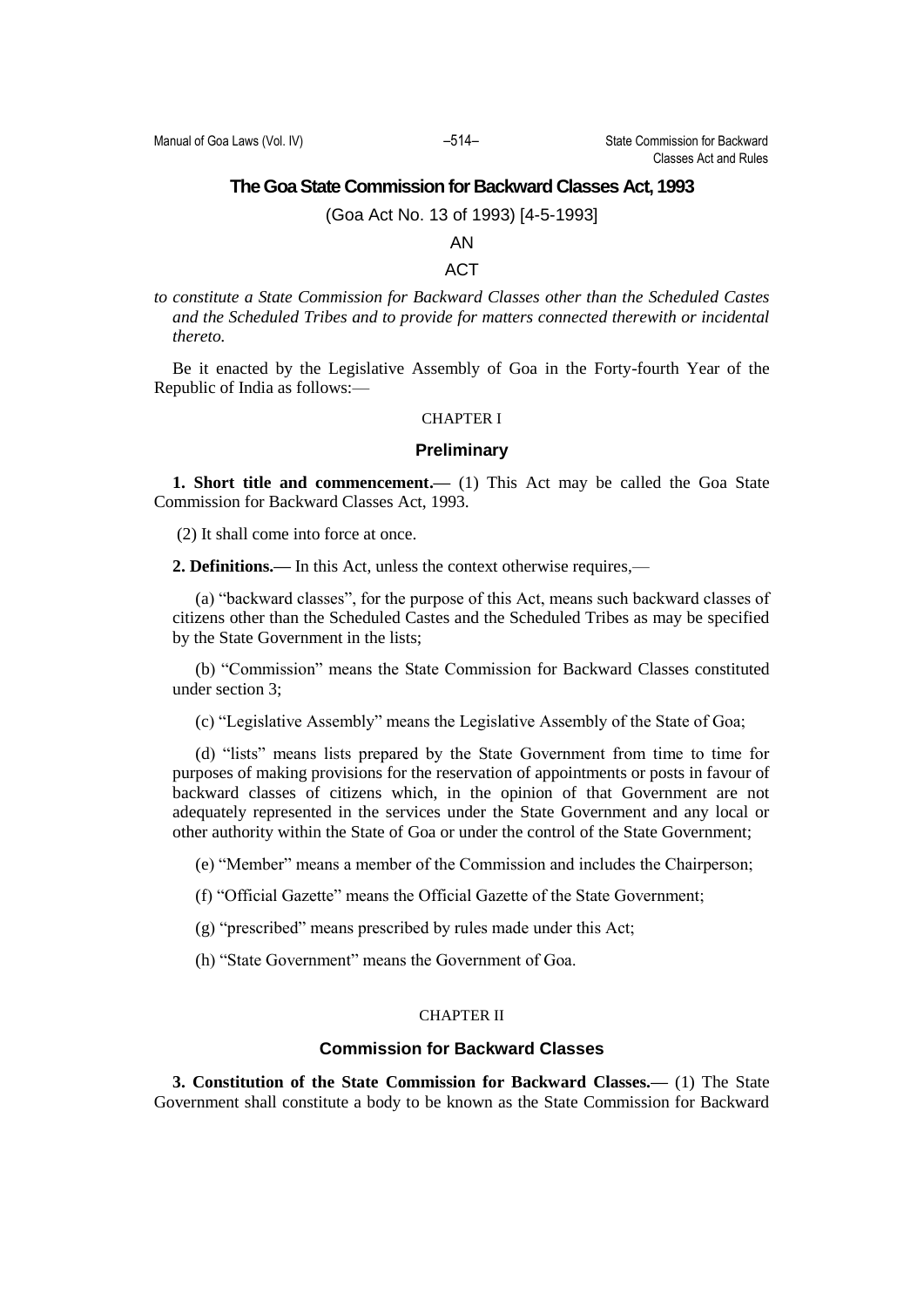#### **The Goa State Commission for Backward Classes Act, 1993**

# (Goa Act No. 13 of 1993) [4-5-1993]

# AN

# **ACT**

*to constitute a State Commission for Backward Classes other than the Scheduled Castes and the Scheduled Tribes and to provide for matters connected therewith or incidental thereto.*

Be it enacted by the Legislative Assembly of Goa in the Forty-fourth Year of the Republic of India as follows:—

#### CHAPTER I

#### **Preliminary**

**1. Short title and commencement.—** (1) This Act may be called the Goa State Commission for Backward Classes Act, 1993.

(2) It shall come into force at once.

**2. Definitions.—** In this Act, unless the context otherwise requires,—

(a) "backward classes", for the purpose of this Act, means such backward classes of citizens other than the Scheduled Castes and the Scheduled Tribes as may be specified by the State Government in the lists;

(b) "Commission" means the State Commission for Backward Classes constituted under section 3;

(c) "Legislative Assembly" means the Legislative Assembly of the State of Goa;

(d) "lists" means lists prepared by the State Government from time to time for purposes of making provisions for the reservation of appointments or posts in favour of backward classes of citizens which, in the opinion of that Government are not adequately represented in the services under the State Government and any local or other authority within the State of Goa or under the control of the State Government;

(e) "Member" means a member of the Commission and includes the Chairperson;

(f) "Official Gazette" means the Official Gazette of the State Government;

 $(g)$  "prescribed" means prescribed by rules made under this Act;

(h) "State Government" means the Government of Goa.

#### CHAPTER II

#### **Commission for Backward Classes**

**3. Constitution of the State Commission for Backward Classes.—** (1) The State Government shall constitute a body to be known as the State Commission for Backward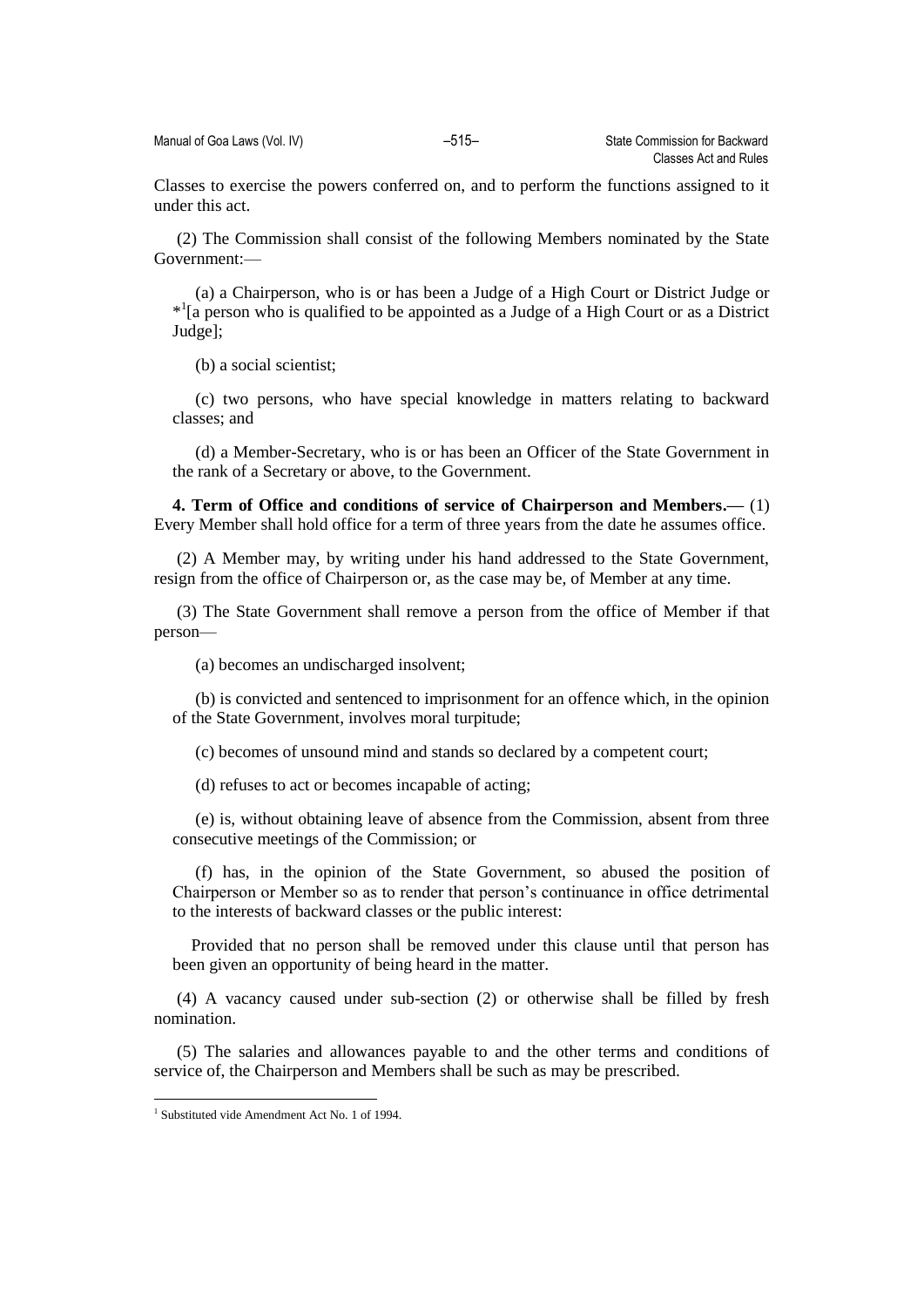Classes to exercise the powers conferred on, and to perform the functions assigned to it under this act.

(2) The Commission shall consist of the following Members nominated by the State Government:—

(a) a Chairperson, who is or has been a Judge of a High Court or District Judge or \*<sup>1</sup>[a person who is qualified to be appointed as a Judge of a High Court or as a District Judge];

(b) a social scientist;

(c) two persons, who have special knowledge in matters relating to backward classes; and

(d) a Member-Secretary, who is or has been an Officer of the State Government in the rank of a Secretary or above, to the Government.

**4. Term of Office and conditions of service of Chairperson and Members.—** (1) Every Member shall hold office for a term of three years from the date he assumes office.

(2) A Member may, by writing under his hand addressed to the State Government, resign from the office of Chairperson or, as the case may be, of Member at any time.

(3) The State Government shall remove a person from the office of Member if that person—

(a) becomes an undischarged insolvent;

(b) is convicted and sentenced to imprisonment for an offence which, in the opinion of the State Government, involves moral turpitude;

(c) becomes of unsound mind and stands so declared by a competent court;

(d) refuses to act or becomes incapable of acting;

(e) is, without obtaining leave of absence from the Commission, absent from three consecutive meetings of the Commission; or

(f) has, in the opinion of the State Government, so abused the position of Chairperson or Member so as to render that person's continuance in office detrimental to the interests of backward classes or the public interest:

Provided that no person shall be removed under this clause until that person has been given an opportunity of being heard in the matter.

(4) A vacancy caused under sub-section (2) or otherwise shall be filled by fresh nomination.

(5) The salaries and allowances payable to and the other terms and conditions of service of, the Chairperson and Members shall be such as may be prescribed.

 $\overline{a}$ 

<sup>&</sup>lt;sup>1</sup> Substituted vide Amendment Act No. 1 of 1994.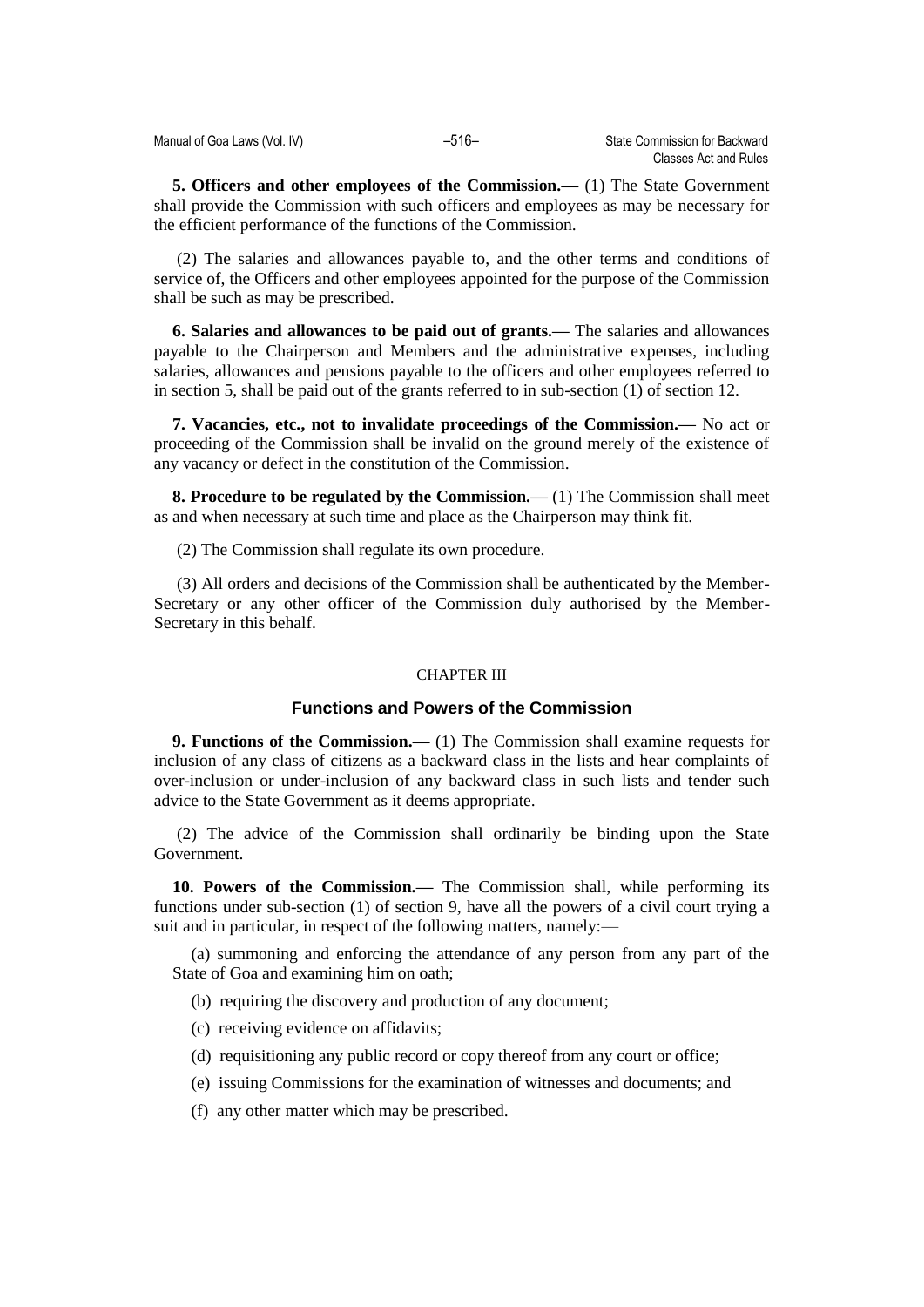| Manual of Goa Laws (Vol. IV) |  |  |
|------------------------------|--|--|
|------------------------------|--|--|

**5. Officers and other employees of the Commission.—** (1) The State Government shall provide the Commission with such officers and employees as may be necessary for the efficient performance of the functions of the Commission.

(2) The salaries and allowances payable to, and the other terms and conditions of service of, the Officers and other employees appointed for the purpose of the Commission shall be such as may be prescribed.

**6. Salaries and allowances to be paid out of grants.—** The salaries and allowances payable to the Chairperson and Members and the administrative expenses, including salaries, allowances and pensions payable to the officers and other employees referred to in section 5, shall be paid out of the grants referred to in sub-section (1) of section 12.

**7. Vacancies, etc., not to invalidate proceedings of the Commission.—** No act or proceeding of the Commission shall be invalid on the ground merely of the existence of any vacancy or defect in the constitution of the Commission.

**8. Procedure to be regulated by the Commission.—** (1) The Commission shall meet as and when necessary at such time and place as the Chairperson may think fit.

(2) The Commission shall regulate its own procedure.

(3) All orders and decisions of the Commission shall be authenticated by the Member-Secretary or any other officer of the Commission duly authorised by the Member-Secretary in this behalf.

#### CHAPTER III

### **Functions and Powers of the Commission**

**9. Functions of the Commission.—** (1) The Commission shall examine requests for inclusion of any class of citizens as a backward class in the lists and hear complaints of over-inclusion or under-inclusion of any backward class in such lists and tender such advice to the State Government as it deems appropriate.

(2) The advice of the Commission shall ordinarily be binding upon the State Government.

**10. Powers of the Commission.—** The Commission shall, while performing its functions under sub-section (1) of section 9, have all the powers of a civil court trying a suit and in particular, in respect of the following matters, namely:—

(a) summoning and enforcing the attendance of any person from any part of the State of Goa and examining him on oath;

- (b) requiring the discovery and production of any document;
- (c) receiving evidence on affidavits;
- (d) requisitioning any public record or copy thereof from any court or office;
- (e) issuing Commissions for the examination of witnesses and documents; and
- (f) any other matter which may be prescribed.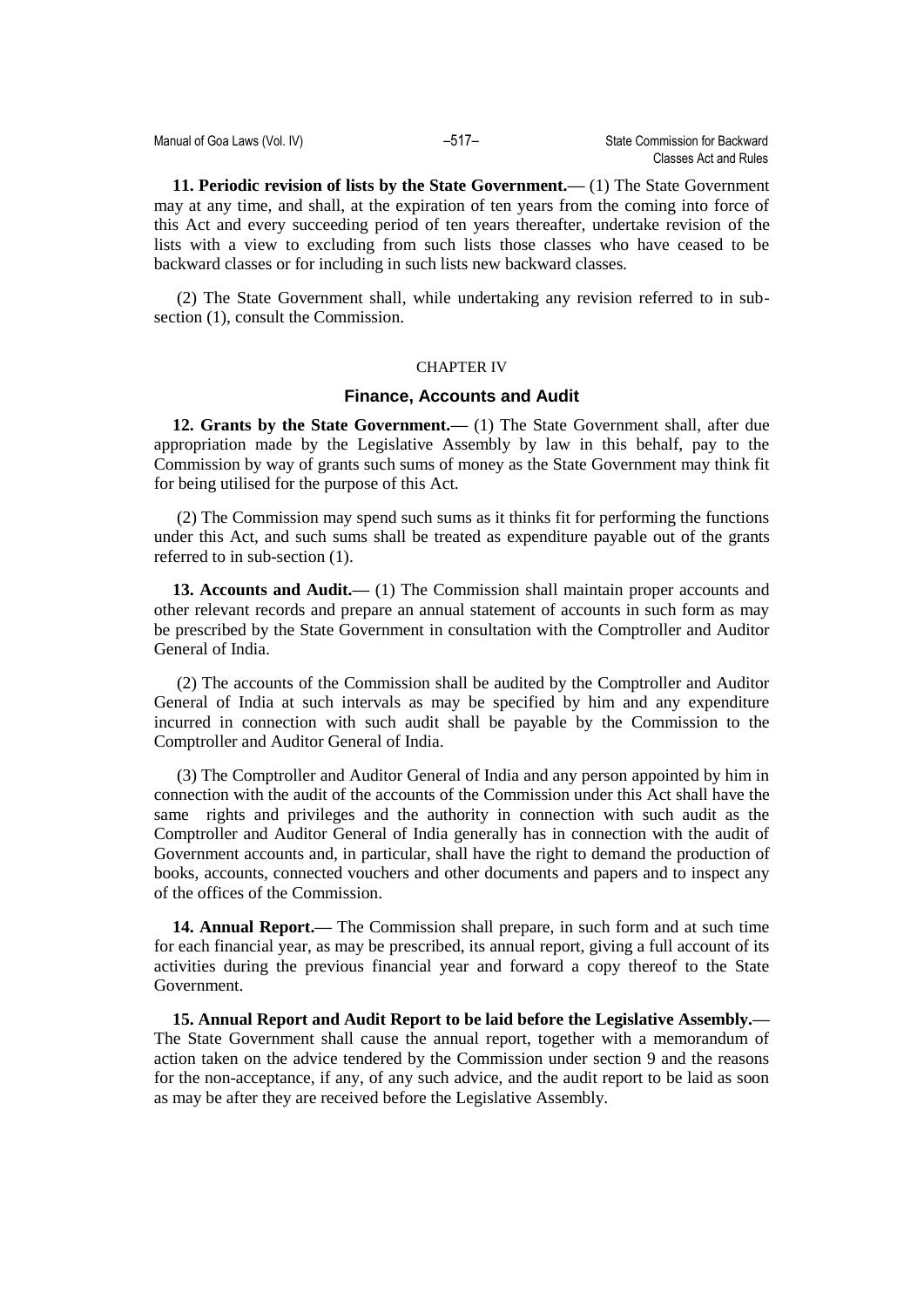**11. Periodic revision of lists by the State Government.—** (1) The State Government may at any time, and shall, at the expiration of ten years from the coming into force of this Act and every succeeding period of ten years thereafter, undertake revision of the lists with a view to excluding from such lists those classes who have ceased to be backward classes or for including in such lists new backward classes.

(2) The State Government shall, while undertaking any revision referred to in subsection (1), consult the Commission.

#### CHAPTER IV

#### **Finance, Accounts and Audit**

**12. Grants by the State Government.—** (1) The State Government shall, after due appropriation made by the Legislative Assembly by law in this behalf, pay to the Commission by way of grants such sums of money as the State Government may think fit for being utilised for the purpose of this Act.

(2) The Commission may spend such sums as it thinks fit for performing the functions under this Act, and such sums shall be treated as expenditure payable out of the grants referred to in sub-section (1).

**13. Accounts and Audit.—** (1) The Commission shall maintain proper accounts and other relevant records and prepare an annual statement of accounts in such form as may be prescribed by the State Government in consultation with the Comptroller and Auditor General of India.

(2) The accounts of the Commission shall be audited by the Comptroller and Auditor General of India at such intervals as may be specified by him and any expenditure incurred in connection with such audit shall be payable by the Commission to the Comptroller and Auditor General of India.

(3) The Comptroller and Auditor General of India and any person appointed by him in connection with the audit of the accounts of the Commission under this Act shall have the same rights and privileges and the authority in connection with such audit as the Comptroller and Auditor General of India generally has in connection with the audit of Government accounts and, in particular, shall have the right to demand the production of books, accounts, connected vouchers and other documents and papers and to inspect any of the offices of the Commission.

**14. Annual Report.—** The Commission shall prepare, in such form and at such time for each financial year, as may be prescribed, its annual report, giving a full account of its activities during the previous financial year and forward a copy thereof to the State Government.

**15. Annual Report and Audit Report to be laid before the Legislative Assembly.—** The State Government shall cause the annual report, together with a memorandum of action taken on the advice tendered by the Commission under section 9 and the reasons for the non-acceptance, if any, of any such advice, and the audit report to be laid as soon as may be after they are received before the Legislative Assembly.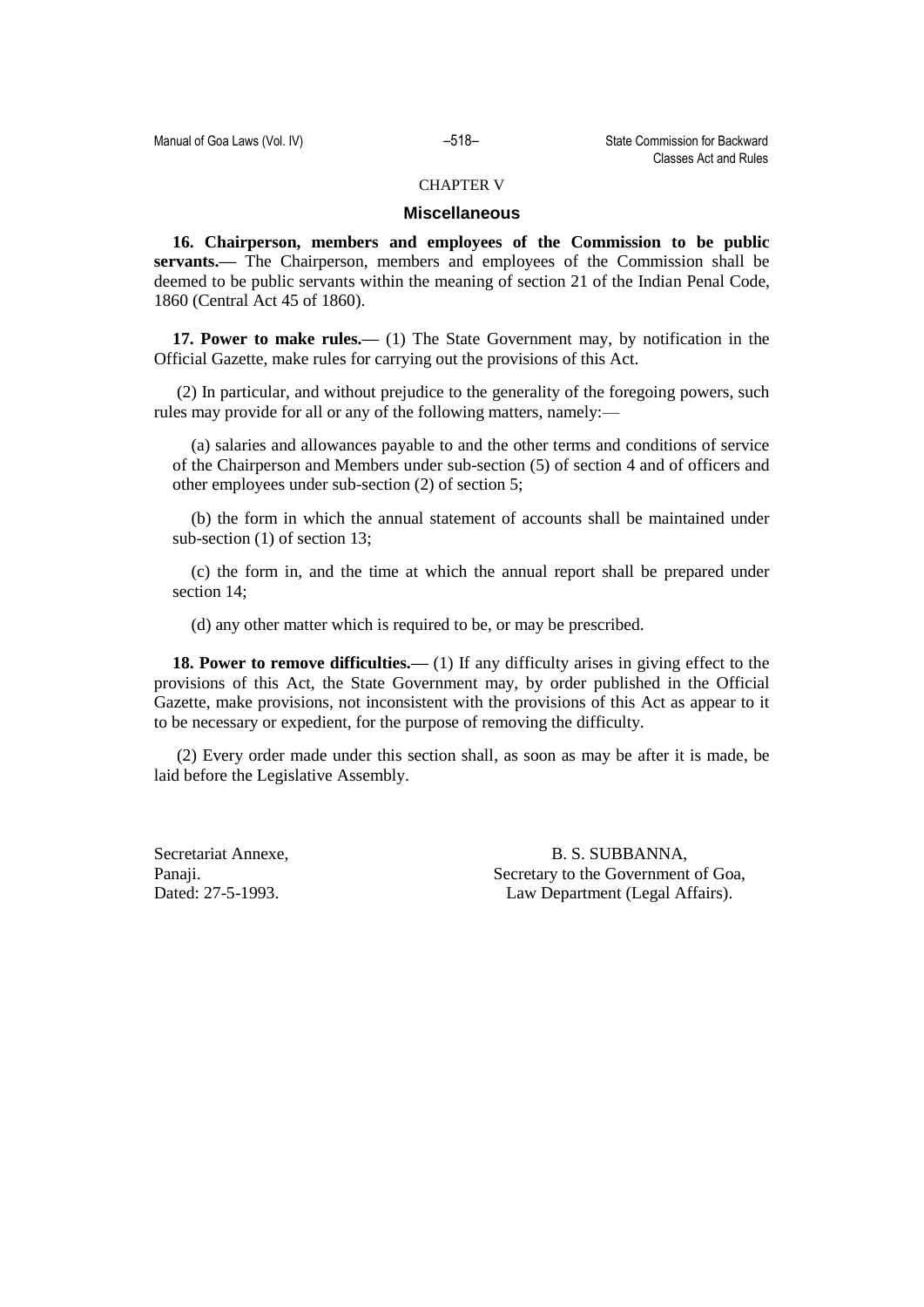#### CHAPTER V

#### **Miscellaneous**

**16. Chairperson, members and employees of the Commission to be public servants.—** The Chairperson, members and employees of the Commission shall be deemed to be public servants within the meaning of section 21 of the Indian Penal Code, 1860 (Central Act 45 of 1860).

**17. Power to make rules.—** (1) The State Government may, by notification in the Official Gazette, make rules for carrying out the provisions of this Act.

(2) In particular, and without prejudice to the generality of the foregoing powers, such rules may provide for all or any of the following matters, namely:—

(a) salaries and allowances payable to and the other terms and conditions of service of the Chairperson and Members under sub-section (5) of section 4 and of officers and other employees under sub-section (2) of section 5;

(b) the form in which the annual statement of accounts shall be maintained under sub-section (1) of section 13;

(c) the form in, and the time at which the annual report shall be prepared under section 14;

(d) any other matter which is required to be, or may be prescribed.

**18. Power to remove difficulties.—** (1) If any difficulty arises in giving effect to the provisions of this Act, the State Government may, by order published in the Official Gazette, make provisions, not inconsistent with the provisions of this Act as appear to it to be necessary or expedient, for the purpose of removing the difficulty.

(2) Every order made under this section shall, as soon as may be after it is made, be laid before the Legislative Assembly.

Secretariat Annexe, B. S. SUBBANNA, Panaji. Secretary to the Government of Goa, Dated: 27-5-1993. Law Department (Legal Affairs).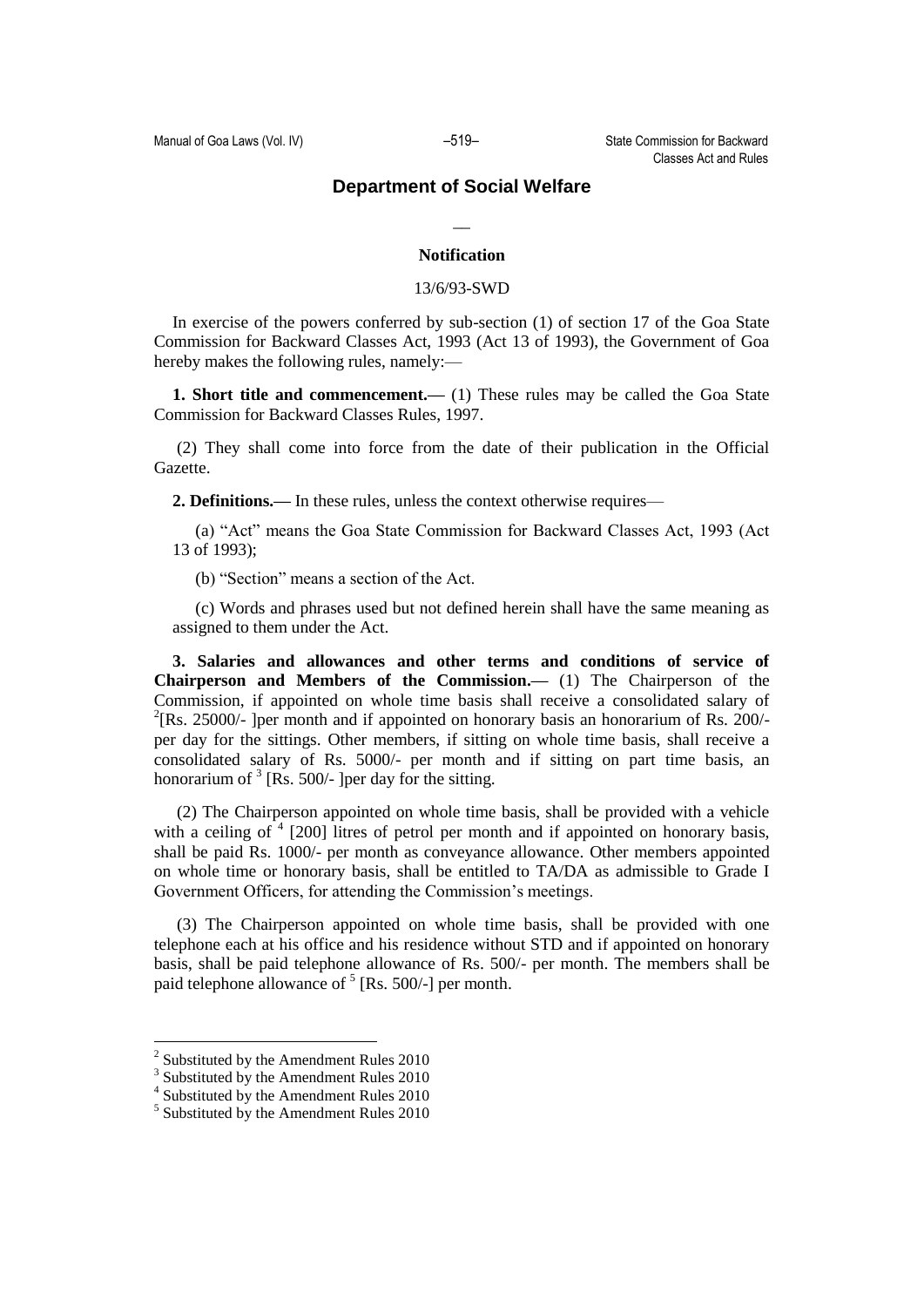# **Department of Social Welfare**

#### **Notification**

 $\overline{\phantom{a}}$ 

#### 13/6/93-SWD

In exercise of the powers conferred by sub-section (1) of section 17 of the Goa State Commission for Backward Classes Act, 1993 (Act 13 of 1993), the Government of Goa hereby makes the following rules, namely:—

**1. Short title and commencement.**— (1) These rules may be called the Goa State Commission for Backward Classes Rules, 1997.

(2) They shall come into force from the date of their publication in the Official Gazette.

**2. Definitions.—** In these rules, unless the context otherwise requires—

(a) "Act" means the Goa State Commission for Backward Classes Act, 1993 (Act) 13 of 1993);

(b) "Section" means a section of the Act.

(c) Words and phrases used but not defined herein shall have the same meaning as assigned to them under the Act.

**3. Salaries and allowances and other terms and conditions of service of Chairperson and Members of the Commission.—** (1) The Chairperson of the Commission, if appointed on whole time basis shall receive a consolidated salary of  $2$ <sup>2</sup>[Rs. 25000/- ]per month and if appointed on honorary basis an honorarium of Rs. 200/per day for the sittings. Other members, if sitting on whole time basis, shall receive a consolidated salary of Rs. 5000/- per month and if sitting on part time basis, an honorarium of  $3$  [Rs. 500/- ]per day for the sitting.

(2) The Chairperson appointed on whole time basis, shall be provided with a vehicle with a ceiling of  $4$  [200] litres of petrol per month and if appointed on honorary basis, shall be paid Rs. 1000/- per month as conveyance allowance. Other members appointed on whole time or honorary basis, shall be entitled to TA/DA as admissible to Grade I Government Officers, for attending the Commission's meetings.

(3) The Chairperson appointed on whole time basis, shall be provided with one telephone each at his office and his residence without STD and if appointed on honorary basis, shall be paid telephone allowance of Rs. 500/- per month. The members shall be paid telephone allowance of <sup>5</sup> [Rs. 500/-] per month.

 $\overline{a}$ 

 $2$  Substituted by the Amendment Rules 2010

<sup>&</sup>lt;sup>3</sup> Substituted by the Amendment Rules 2010

<sup>4</sup> Substituted by the Amendment Rules 2010

<sup>&</sup>lt;sup>5</sup> Substituted by the Amendment Rules 2010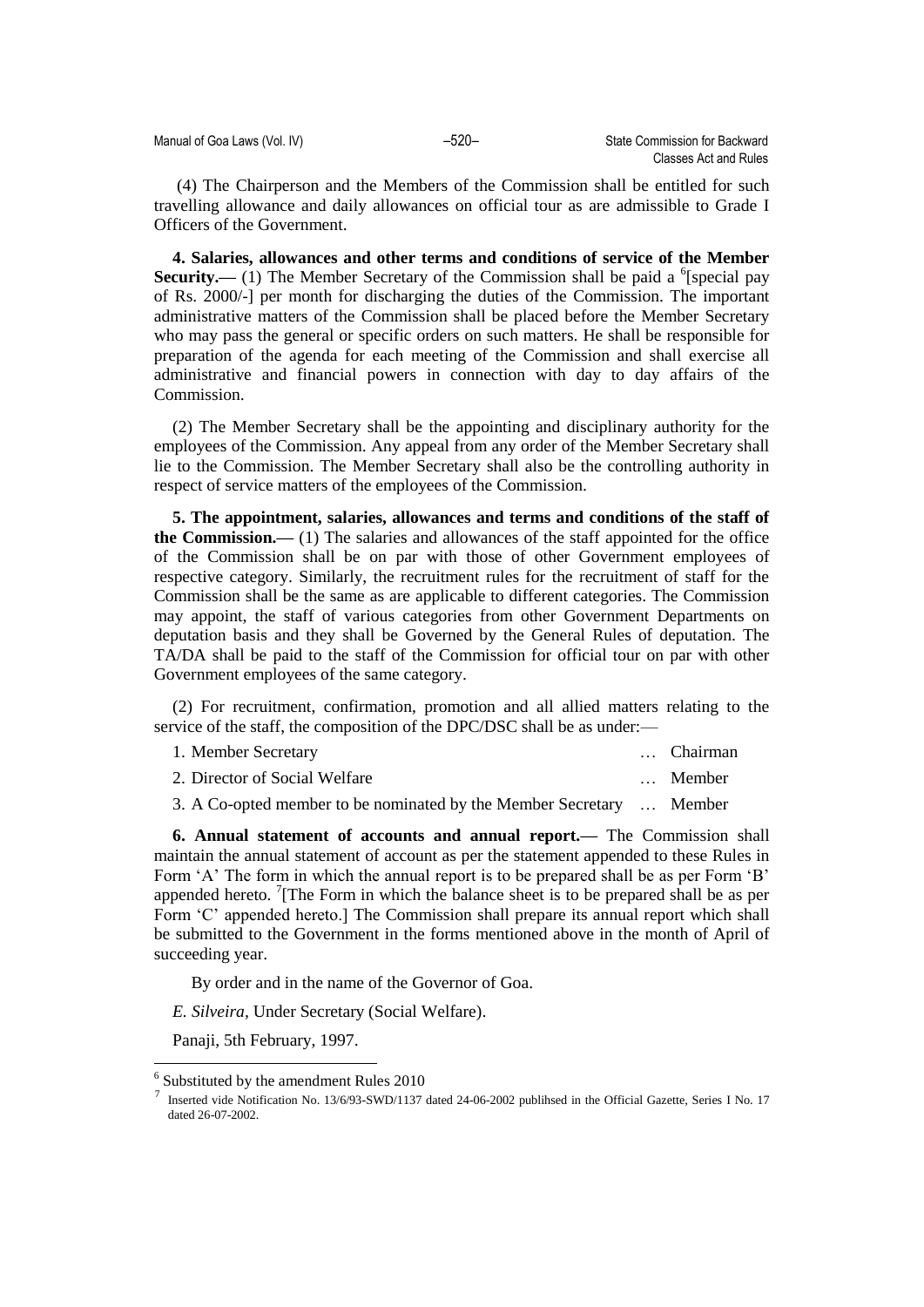(4) The Chairperson and the Members of the Commission shall be entitled for such travelling allowance and daily allowances on official tour as are admissible to Grade I Officers of the Government.

**4. Salaries, allowances and other terms and conditions of service of the Member Security.** (1) The Member Secretary of the Commission shall be paid a <sup>6</sup>[special pay of Rs. 2000/-] per month for discharging the duties of the Commission. The important administrative matters of the Commission shall be placed before the Member Secretary who may pass the general or specific orders on such matters. He shall be responsible for preparation of the agenda for each meeting of the Commission and shall exercise all administrative and financial powers in connection with day to day affairs of the Commission.

(2) The Member Secretary shall be the appointing and disciplinary authority for the employees of the Commission. Any appeal from any order of the Member Secretary shall lie to the Commission. The Member Secretary shall also be the controlling authority in respect of service matters of the employees of the Commission.

**5. The appointment, salaries, allowances and terms and conditions of the staff of the Commission.—** (1) The salaries and allowances of the staff appointed for the office of the Commission shall be on par with those of other Government employees of respective category. Similarly, the recruitment rules for the recruitment of staff for the Commission shall be the same as are applicable to different categories. The Commission may appoint, the staff of various categories from other Government Departments on deputation basis and they shall be Governed by the General Rules of deputation. The TA/DA shall be paid to the staff of the Commission for official tour on par with other Government employees of the same category.

(2) For recruitment, confirmation, promotion and all allied matters relating to the service of the staff, the composition of the DPC/DSC shall be as under:—

| 1. Member Secretary           | Chairman |
|-------------------------------|----------|
| 2. Director of Social Welfare | Member   |

3. A Co-opted member to be nominated by the Member Secretary … Member

**6. Annual statement of accounts and annual report.—** The Commission shall maintain the annual statement of account as per the statement appended to these Rules in Form  $A'$  The form in which the annual report is to be prepared shall be as per Form  $B'$ appended hereto. <sup>7</sup>[The Form in which the balance sheet is to be prepared shall be as per Form 'C' appended hereto.] The Commission shall prepare its annual report which shall be submitted to the Government in the forms mentioned above in the month of April of succeeding year.

By order and in the name of the Governor of Goa.

*E. Silveira,* Under Secretary (Social Welfare).

Panaji, 5th February, 1997.

 $\overline{a}$ 

<sup>&</sup>lt;sup>6</sup> Substituted by the amendment Rules 2010

<sup>7</sup> Inserted vide Notification No. 13/6/93-SWD/1137 dated 24-06-2002 publihsed in the Official Gazette, Series I No. 17 dated 26-07-2002.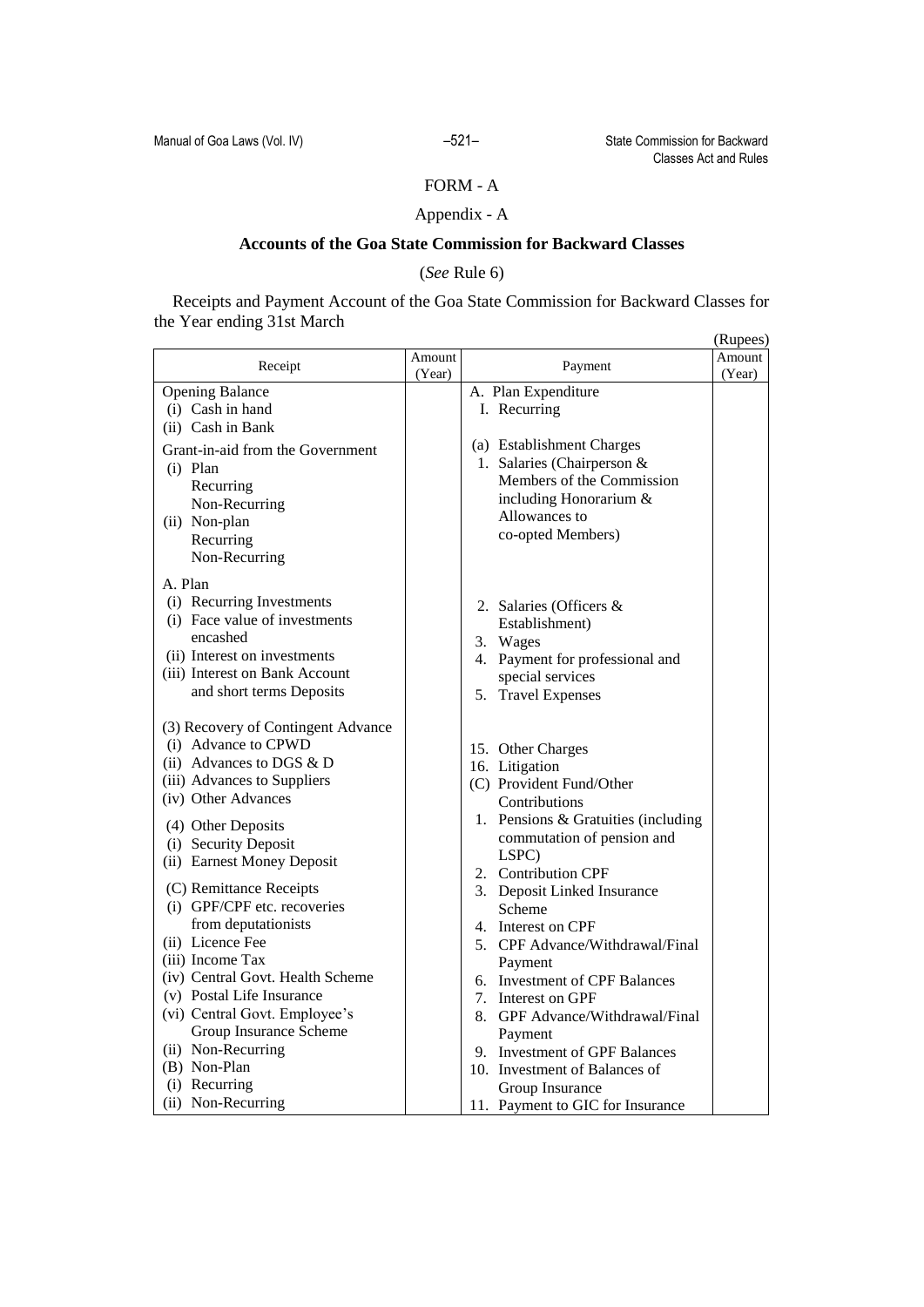# FORM - A

# Appendix - A

# **Accounts of the Goa State Commission for Backward Classes**

# (*See* Rule 6)

Receipts and Payment Account of the Goa State Commission for Backward Classes for the Year ending 31st March  $(D_{\text{unco}})$ 

|                                                                                                                                                                                 |                  |                                                                                                                                                      | $(\mathbf{N} \mathbf{u} \mathbf{p} \mathbf{c} \mathbf{c} \mathbf{s})$ |
|---------------------------------------------------------------------------------------------------------------------------------------------------------------------------------|------------------|------------------------------------------------------------------------------------------------------------------------------------------------------|-----------------------------------------------------------------------|
| Receipt                                                                                                                                                                         | Amount<br>(Year) | Payment                                                                                                                                              | Amount<br>(Year)                                                      |
| <b>Opening Balance</b><br>(i) Cash in hand<br>(ii) Cash in Bank                                                                                                                 |                  | A. Plan Expenditure<br>I. Recurring                                                                                                                  |                                                                       |
| Grant-in-aid from the Government<br>$(i)$ Plan<br>Recurring<br>Non-Recurring<br>(ii) Non-plan<br>Recurring<br>Non-Recurring                                                     |                  | (a) Establishment Charges<br>1. Salaries (Chairperson &<br>Members of the Commission<br>including Honorarium &<br>Allowances to<br>co-opted Members) |                                                                       |
| A. Plan<br>(i) Recurring Investments<br>(i) Face value of investments<br>encashed<br>(ii) Interest on investments<br>(iii) Interest on Bank Account<br>and short terms Deposits |                  | 2. Salaries (Officers &<br>Establishment)<br>3. Wages<br>4. Payment for professional and<br>special services<br>5. Travel Expenses                   |                                                                       |
| (3) Recovery of Contingent Advance<br>(i) Advance to CPWD<br>(ii) Advances to DGS $&$ D<br>(iii) Advances to Suppliers<br>(iv) Other Advances                                   |                  | 15. Other Charges<br>16. Litigation<br>(C) Provident Fund/Other<br>Contributions                                                                     |                                                                       |
| (4) Other Deposits<br>(i) Security Deposit<br>(ii) Earnest Money Deposit                                                                                                        |                  | 1. Pensions & Gratuities (including<br>commutation of pension and<br>LSPC)<br>2. Contribution CPF                                                    |                                                                       |
| (C) Remittance Receipts<br>(i) GPF/CPF etc. recoveries<br>from deputationists                                                                                                   |                  | Deposit Linked Insurance<br>3.<br>Scheme<br>4. Interest on CPF                                                                                       |                                                                       |
| (ii) Licence Fee<br>(iii) Income Tax<br>(iv) Central Govt. Health Scheme                                                                                                        |                  | 5. CPF Advance/Withdrawal/Final<br>Payment<br>6. Investment of CPF Balances                                                                          |                                                                       |
| (v) Postal Life Insurance<br>(vi) Central Govt. Employee's<br>Group Insurance Scheme                                                                                            |                  | 7. Interest on GPF<br>8. GPF Advance/Withdrawal/Final<br>Payment                                                                                     |                                                                       |
| (ii) Non-Recurring<br>(B) Non-Plan<br>(i) Recurring                                                                                                                             |                  | 9. Investment of GPF Balances<br>10. Investment of Balances of<br>Group Insurance                                                                    |                                                                       |
| (ii) Non-Recurring                                                                                                                                                              |                  | 11. Payment to GIC for Insurance                                                                                                                     |                                                                       |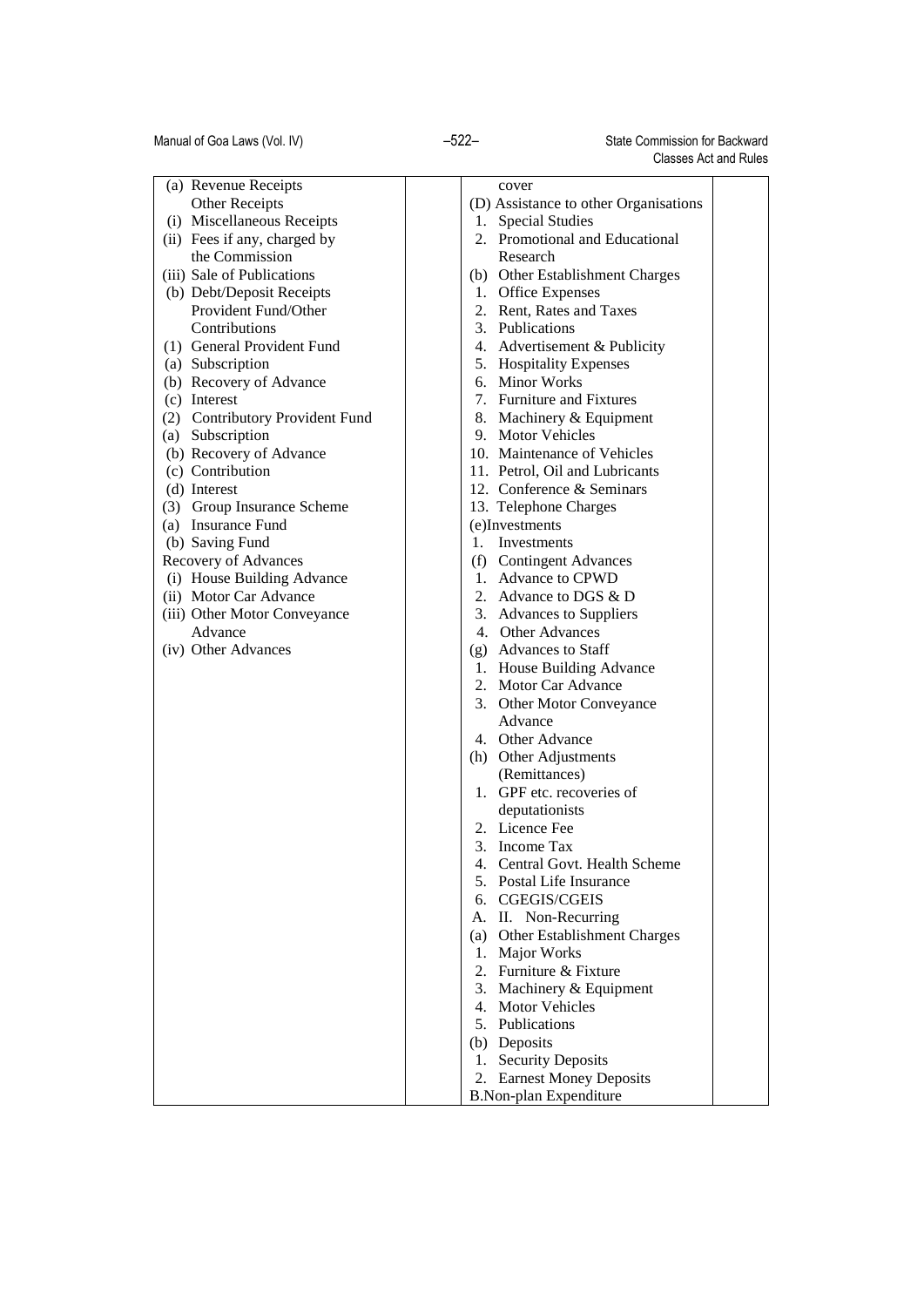| (a) Revenue Receipts                           | cover                                                    |  |
|------------------------------------------------|----------------------------------------------------------|--|
| Other Receipts                                 | (D) Assistance to other Organisations                    |  |
| (i) Miscellaneous Receipts                     | 1.                                                       |  |
|                                                | <b>Special Studies</b><br>2. Promotional and Educational |  |
| (ii) Fees if any, charged by<br>the Commission | Research                                                 |  |
|                                                |                                                          |  |
| (iii) Sale of Publications                     | (b) Other Establishment Charges                          |  |
| (b) Debt/Deposit Receipts                      | 1. Office Expenses                                       |  |
| Provident Fund/Other                           | 2. Rent, Rates and Taxes                                 |  |
| Contributions                                  | 3. Publications                                          |  |
| (1) General Provident Fund                     | 4. Advertisement & Publicity                             |  |
| (a) Subscription                               | 5. Hospitality Expenses                                  |  |
| (b) Recovery of Advance                        | 6. Minor Works                                           |  |
| (c) Interest                                   | 7. Furniture and Fixtures                                |  |
| (2) Contributory Provident Fund                | 8. Machinery & Equipment                                 |  |
| (a) Subscription                               | 9. Motor Vehicles                                        |  |
| (b) Recovery of Advance                        | 10. Maintenance of Vehicles                              |  |
| (c) Contribution                               | 11. Petrol, Oil and Lubricants                           |  |
| (d) Interest                                   | 12. Conference & Seminars                                |  |
| (3) Group Insurance Scheme                     | 13. Telephone Charges                                    |  |
| (a) Insurance Fund                             | (e)Investments                                           |  |
| (b) Saving Fund                                | 1.<br>Investments                                        |  |
| Recovery of Advances                           | (f) Contingent Advances                                  |  |
| (i) House Building Advance                     | 1. Advance to CPWD                                       |  |
| (ii) Motor Car Advance                         | 2. Advance to DGS & D                                    |  |
| (iii) Other Motor Conveyance                   | 3. Advances to Suppliers                                 |  |
| Advance                                        | 4. Other Advances                                        |  |
| (iv) Other Advances                            | (g) Advances to Staff                                    |  |
|                                                | 1. House Building Advance                                |  |
|                                                | 2. Motor Car Advance                                     |  |
|                                                | 3. Other Motor Conveyance                                |  |
|                                                | Advance                                                  |  |
|                                                | 4. Other Advance                                         |  |
|                                                | (h) Other Adjustments                                    |  |
|                                                | (Remittances)                                            |  |
|                                                | 1. GPF etc. recoveries of                                |  |
|                                                | deputationists                                           |  |
|                                                | 2. Licence Fee                                           |  |
|                                                |                                                          |  |
|                                                | 3. Income Tax                                            |  |
|                                                | 4. Central Govt. Health Scheme                           |  |
|                                                | 5. Postal Life Insurance                                 |  |
|                                                | 6. CGEGIS/CGEIS                                          |  |
|                                                | A. II. Non-Recurring                                     |  |
|                                                | (a) Other Establishment Charges                          |  |
|                                                | 1. Major Works                                           |  |
|                                                | 2. Furniture & Fixture                                   |  |
|                                                | 3. Machinery & Equipment                                 |  |
|                                                | 4. Motor Vehicles                                        |  |
|                                                | 5. Publications                                          |  |
|                                                | (b) Deposits                                             |  |
|                                                | <b>Security Deposits</b><br>1.                           |  |
|                                                | 2. Earnest Money Deposits                                |  |
|                                                | B.Non-plan Expenditure                                   |  |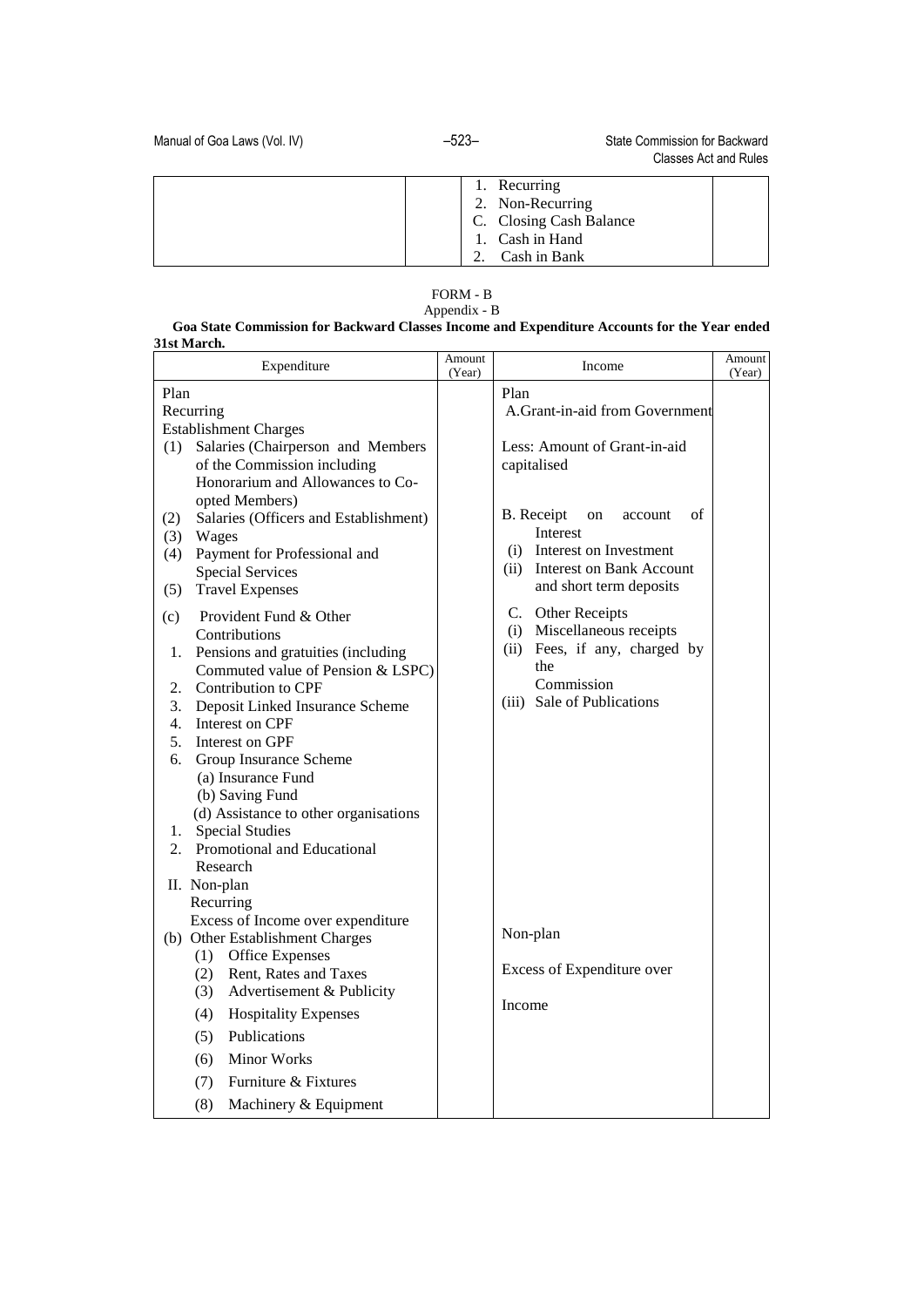| Manual of Goa Laws (Vol. IV) | $-523-$                                                                                        | State Commission for Backward<br><b>Classes Act and Rules</b> |
|------------------------------|------------------------------------------------------------------------------------------------|---------------------------------------------------------------|
|                              | 1. Recurring<br>2. Non-Recurring<br>C. Closing Cash Balance<br>1. Cash in Hand<br>Cash in Bank |                                                               |

#### FORM - B Appendix - B

| Goa State Commission for Backward Classes Income and Expenditure Accounts for the Year ended<br>31st March. |        |   |        |
|-------------------------------------------------------------------------------------------------------------|--------|---|--------|
| $E_{\text{max}} = 11$                                                                                       | Amount | . | Amount |

|                                   | Expenditure                                                                                                                                                                                                        | Amount<br>(Year) | Income                                                                                                                                 | Amount<br>(Year) |
|-----------------------------------|--------------------------------------------------------------------------------------------------------------------------------------------------------------------------------------------------------------------|------------------|----------------------------------------------------------------------------------------------------------------------------------------|------------------|
| Plan                              | Recurring                                                                                                                                                                                                          |                  | Plan<br>A.Grant-in-aid from Government                                                                                                 |                  |
|                                   | <b>Establishment Charges</b>                                                                                                                                                                                       |                  |                                                                                                                                        |                  |
| (1)                               | Salaries (Chairperson and Members                                                                                                                                                                                  |                  | Less: Amount of Grant-in-aid                                                                                                           |                  |
|                                   | of the Commission including                                                                                                                                                                                        |                  | capitalised                                                                                                                            |                  |
| (2)<br>(3)<br>(4)                 | Honorarium and Allowances to Co-<br>opted Members)<br>Salaries (Officers and Establishment)<br>Wages<br>Payment for Professional and<br><b>Special Services</b>                                                    |                  | B. Receipt<br>of<br>on<br>account<br>Interest<br>Interest on Investment<br>(i)<br><b>Interest on Bank Account</b><br>(ii)              |                  |
| (5)                               | <b>Travel Expenses</b>                                                                                                                                                                                             |                  | and short term deposits                                                                                                                |                  |
| (c)<br>1.<br>2.<br>3.<br>4.<br>5. | Provident Fund & Other<br>Contributions<br>Pensions and gratuities (including<br>Commuted value of Pension & LSPC)<br>Contribution to CPF<br>Deposit Linked Insurance Scheme<br>Interest on CPF<br>Interest on GPF |                  | C. Other Receipts<br>(i) Miscellaneous receipts<br>Fees, if any, charged by<br>(ii)<br>the<br>Commission<br>(iii) Sale of Publications |                  |
| 6.                                | Group Insurance Scheme                                                                                                                                                                                             |                  |                                                                                                                                        |                  |
|                                   | (a) Insurance Fund                                                                                                                                                                                                 |                  |                                                                                                                                        |                  |
|                                   | (b) Saving Fund                                                                                                                                                                                                    |                  |                                                                                                                                        |                  |
|                                   | (d) Assistance to other organisations                                                                                                                                                                              |                  |                                                                                                                                        |                  |
|                                   | 1. Special Studies                                                                                                                                                                                                 |                  |                                                                                                                                        |                  |
|                                   | 2. Promotional and Educational                                                                                                                                                                                     |                  |                                                                                                                                        |                  |
|                                   | Research                                                                                                                                                                                                           |                  |                                                                                                                                        |                  |
|                                   | II. Non-plan                                                                                                                                                                                                       |                  |                                                                                                                                        |                  |
|                                   | Recurring<br>Excess of Income over expenditure                                                                                                                                                                     |                  |                                                                                                                                        |                  |
|                                   | (b) Other Establishment Charges                                                                                                                                                                                    |                  | Non-plan                                                                                                                               |                  |
|                                   | <b>Office Expenses</b><br>(1)                                                                                                                                                                                      |                  |                                                                                                                                        |                  |
|                                   | Rent, Rates and Taxes<br>(2)                                                                                                                                                                                       |                  | Excess of Expenditure over                                                                                                             |                  |
|                                   | (3)<br>Advertisement & Publicity                                                                                                                                                                                   |                  |                                                                                                                                        |                  |
|                                   | (4)<br><b>Hospitality Expenses</b>                                                                                                                                                                                 |                  | Income                                                                                                                                 |                  |
|                                   | Publications<br>(5)                                                                                                                                                                                                |                  |                                                                                                                                        |                  |
|                                   | <b>Minor Works</b><br>(6)                                                                                                                                                                                          |                  |                                                                                                                                        |                  |
|                                   | Furniture & Fixtures<br>(7)                                                                                                                                                                                        |                  |                                                                                                                                        |                  |
|                                   | (8)<br>Machinery & Equipment                                                                                                                                                                                       |                  |                                                                                                                                        |                  |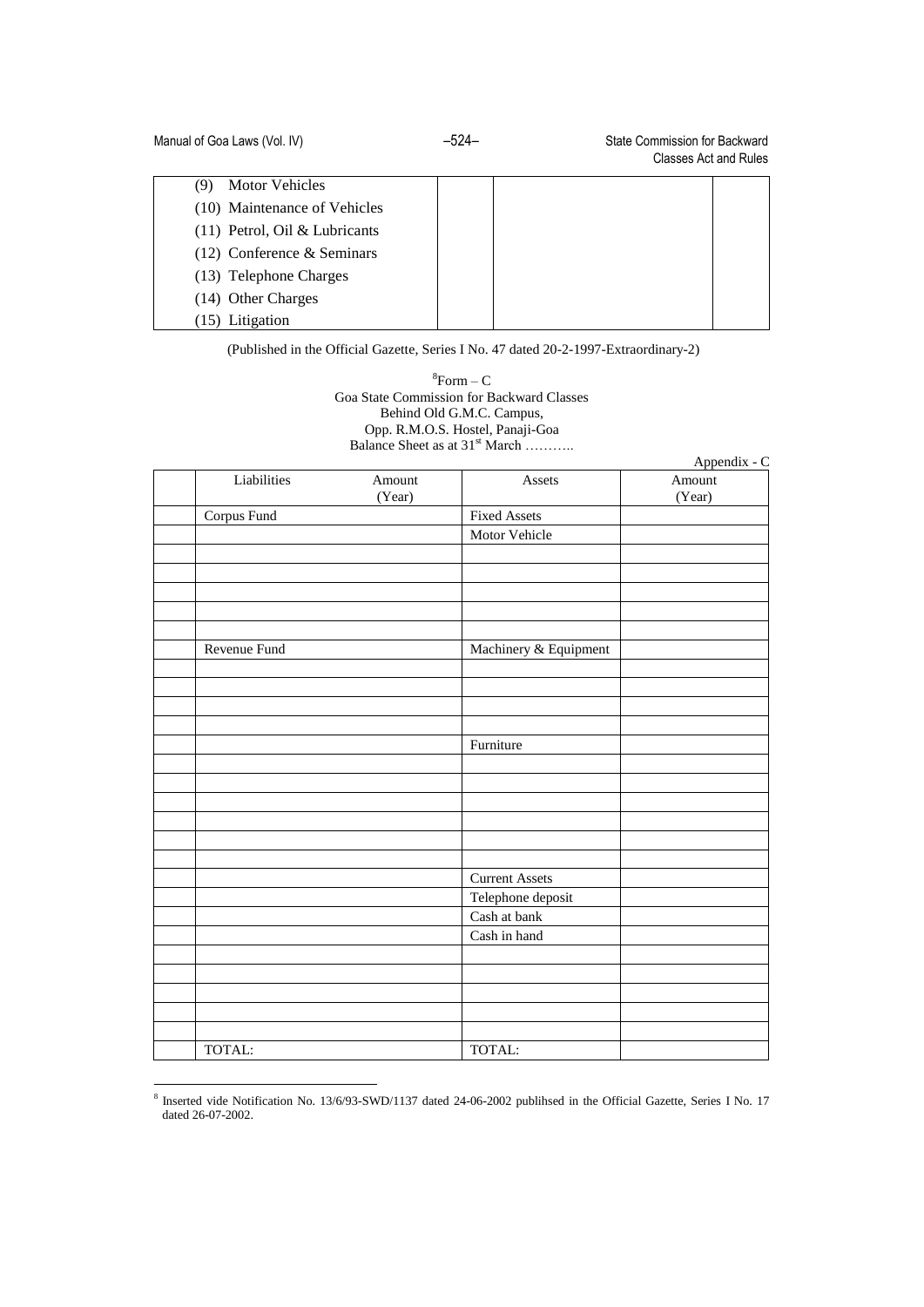| Manual of Goa Laws (Vol. IV)  | -524- | State Commission for Backward<br><b>Classes Act and Rules</b> |
|-------------------------------|-------|---------------------------------------------------------------|
| <b>Motor Vehicles</b><br>(9)  |       |                                                               |
| (10) Maintenance of Vehicles  |       |                                                               |
| (11) Petrol, Oil & Lubricants |       |                                                               |
| $(12)$ Conference & Seminars  |       |                                                               |
| (13) Telephone Charges        |       |                                                               |
| (14) Other Charges            |       |                                                               |
| $(15)$ Litigation             |       |                                                               |

(Published in the Official Gazette, Series I No. 47 dated 20-2-1997-Extraordinary-2)

| ${}^{8}$ Form – C                          |
|--------------------------------------------|
| Goa State Commission for Backward Classes  |
| Behind Old G.M.C. Campus,                  |
| Opp. R.M.O.S. Hostel, Panaji-Goa           |
| Balance Sheet as at 31 <sup>st</sup> March |

| Liabilities  | Amount<br>Assets      | Appendix - C<br>Amount |
|--------------|-----------------------|------------------------|
|              | (Year)                | (Year)                 |
| Corpus Fund  | <b>Fixed Assets</b>   |                        |
|              | Motor Vehicle         |                        |
|              |                       |                        |
|              |                       |                        |
|              |                       |                        |
|              |                       |                        |
|              |                       |                        |
| Revenue Fund |                       |                        |
|              | Machinery & Equipment |                        |
|              |                       |                        |
|              |                       |                        |
|              |                       |                        |
|              |                       |                        |
|              | Furniture             |                        |
|              |                       |                        |
|              |                       |                        |
|              |                       |                        |
|              |                       |                        |
|              |                       |                        |
|              |                       |                        |
|              | <b>Current Assets</b> |                        |
|              | Telephone deposit     |                        |
|              | Cash at bank          |                        |
|              | Cash in hand          |                        |
|              |                       |                        |
|              |                       |                        |
|              |                       |                        |
|              |                       |                        |
|              |                       |                        |
| TOTAL:       | TOTAL:                |                        |

 8 Inserted vide Notification No. 13/6/93-SWD/1137 dated 24-06-2002 publihsed in the Official Gazette, Series I No. 17 dated 26-07-2002.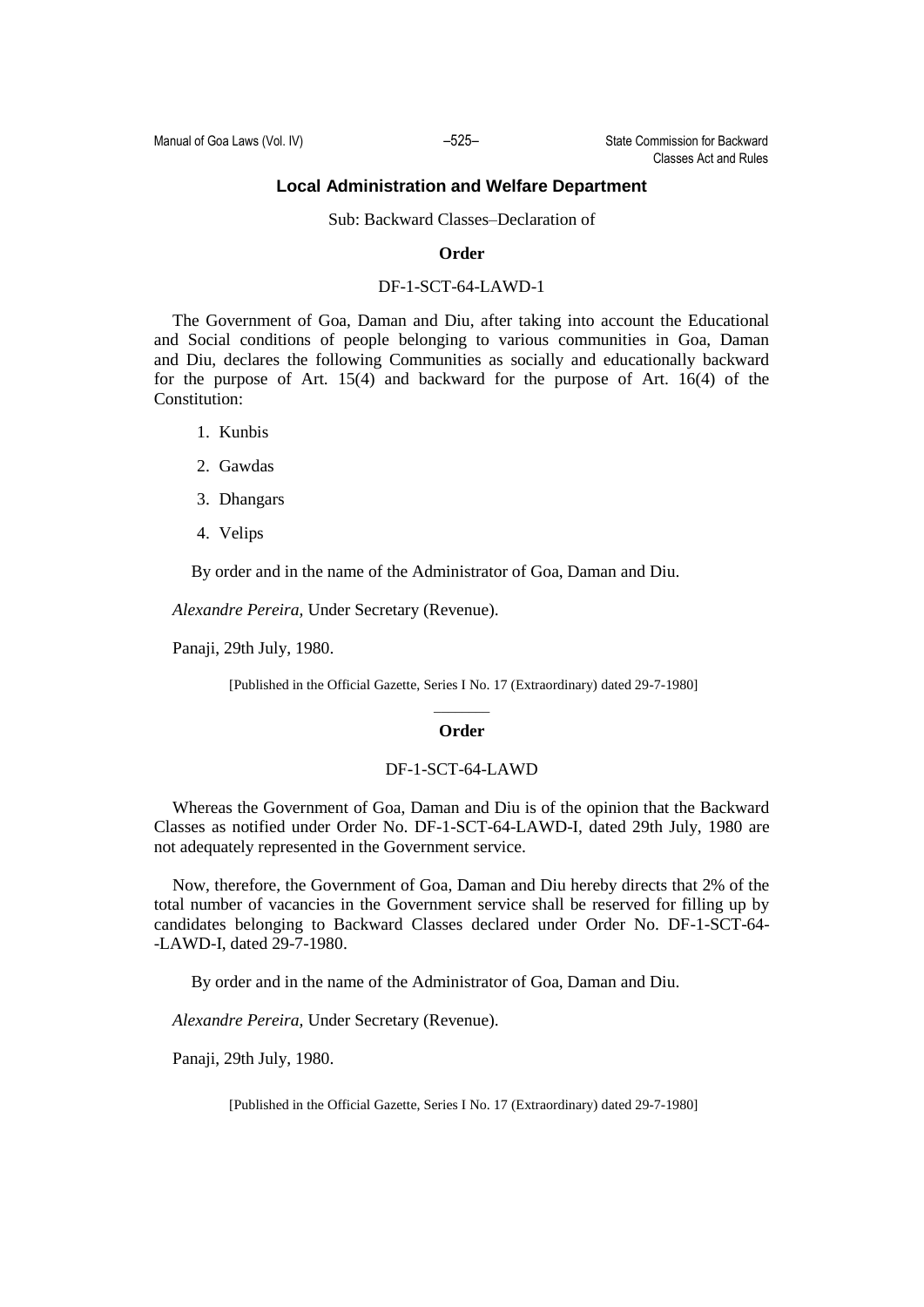#### **Local Administration and Welfare Department**

#### Sub: Backward Classes–Declaration of

#### **Order**

#### DF-1-SCT-64-LAWD-1

The Government of Goa, Daman and Diu, after taking into account the Educational and Social conditions of people belonging to various communities in Goa, Daman and Diu, declares the following Communities as socially and educationally backward for the purpose of Art. 15(4) and backward for the purpose of Art. 16(4) of the Constitution:

- 1. Kunbis
- 2. Gawdas
- 3. Dhangars
- 4. Velips

By order and in the name of the Administrator of Goa, Daman and Diu.

*Alexandre Pereira,* Under Secretary (Revenue).

Panaji, 29th July, 1980.

[Published in the Official Gazette, Series I No. 17 (Extraordinary) dated 29-7-1980]

#### $\overline{\phantom{a}}$ **Order**

#### DF-1-SCT-64-LAWD

Whereas the Government of Goa, Daman and Diu is of the opinion that the Backward Classes as notified under Order No. DF-1-SCT-64-LAWD-I, dated 29th July, 1980 are not adequately represented in the Government service.

Now, therefore, the Government of Goa, Daman and Diu hereby directs that 2% of the total number of vacancies in the Government service shall be reserved for filling up by candidates belonging to Backward Classes declared under Order No. DF-1-SCT-64- -LAWD-I, dated 29-7-1980.

By order and in the name of the Administrator of Goa, Daman and Diu.

*Alexandre Pereira,* Under Secretary (Revenue).

Panaji, 29th July, 1980.

[Published in the Official Gazette, Series I No. 17 (Extraordinary) dated 29-7-1980]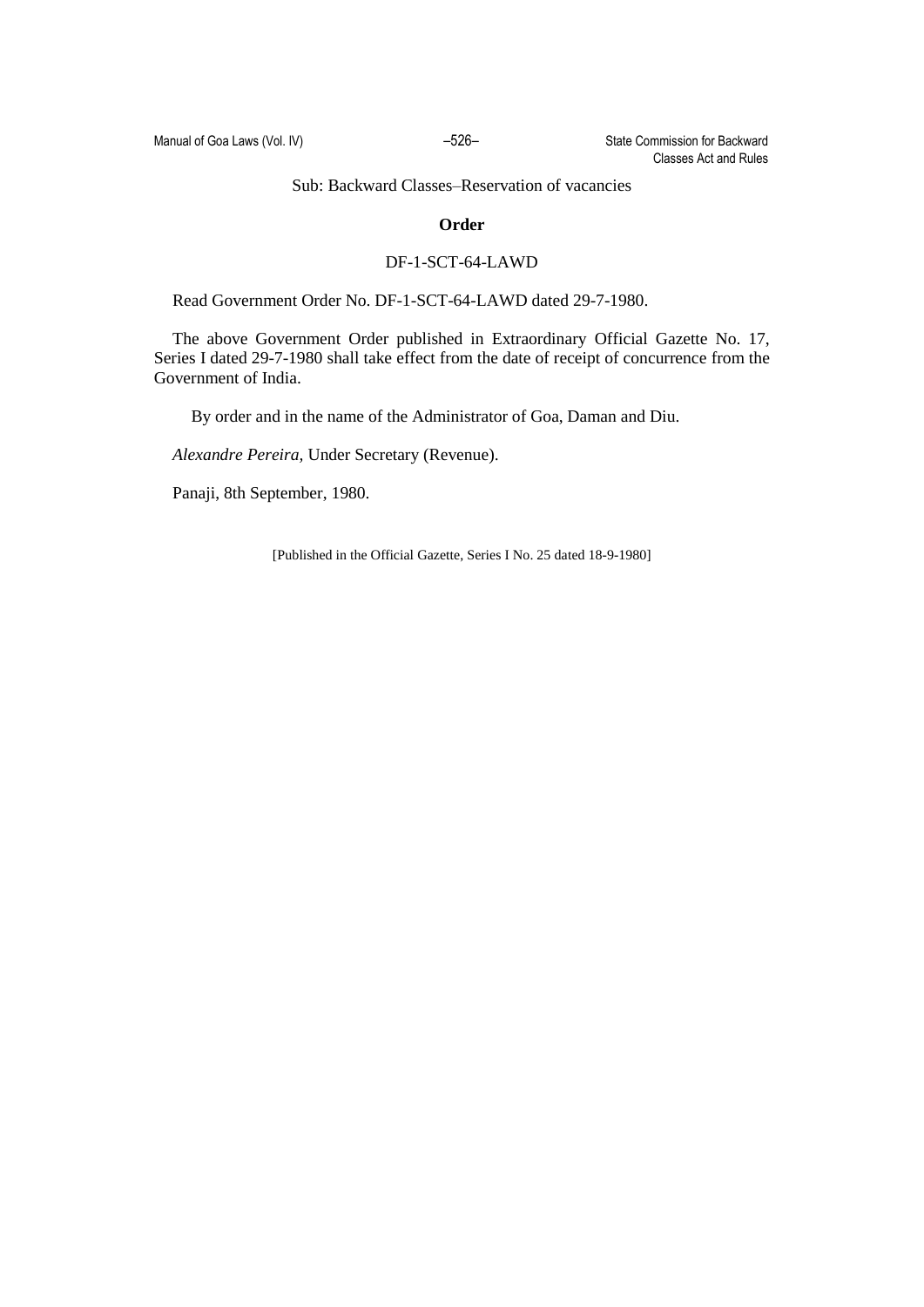Sub: Backward Classes–Reservation of vacancies

#### **Order**

#### DF-1-SCT-64-LAWD

Read Government Order No. DF-1-SCT-64-LAWD dated 29-7-1980.

The above Government Order published in Extraordinary Official Gazette No. 17, Series I dated 29-7-1980 shall take effect from the date of receipt of concurrence from the Government of India.

By order and in the name of the Administrator of Goa, Daman and Diu.

*Alexandre Pereira,* Under Secretary (Revenue).

Panaji, 8th September, 1980.

[Published in the Official Gazette, Series I No. 25 dated 18-9-1980]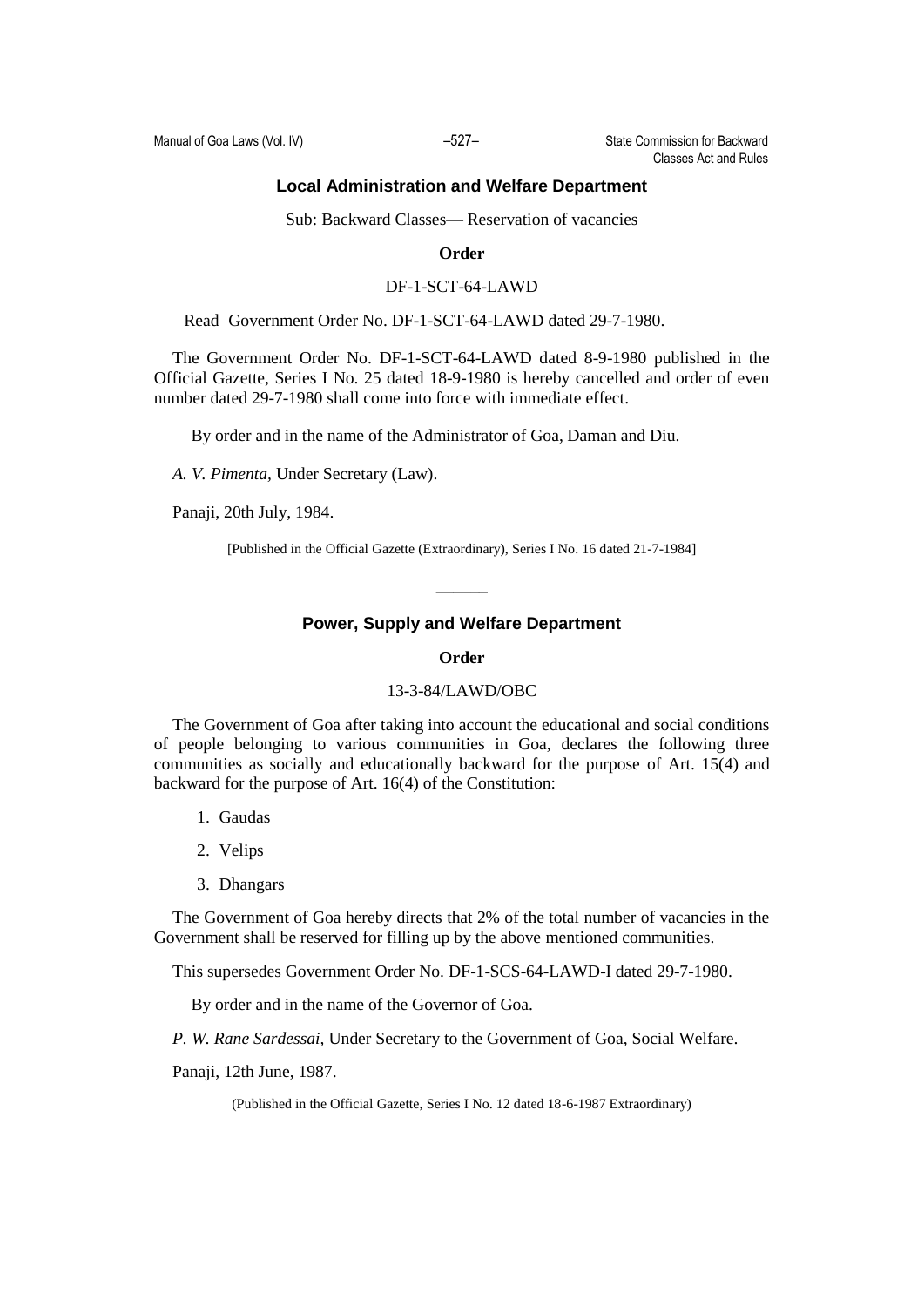#### **Local Administration and Welfare Department**

Sub: Backward Classes— Reservation of vacancies

#### **Order**

#### DF-1-SCT-64-LAWD

Read Government Order No. DF-1-SCT-64-LAWD dated 29-7-1980.

The Government Order No. DF-1-SCT-64-LAWD dated 8-9-1980 published in the Official Gazette, Series I No. 25 dated 18-9-1980 is hereby cancelled and order of even number dated 29-7-1980 shall come into force with immediate effect.

By order and in the name of the Administrator of Goa, Daman and Diu.

*A. V. Pimenta,* Under Secretary (Law).

Panaji, 20th July, 1984.

[Published in the Official Gazette (Extraordinary), Series I No. 16 dated 21-7-1984]

 $\overline{\phantom{a}}$ 

#### **Power, Supply and Welfare Department**

#### **Order**

#### 13-3-84/LAWD/OBC

The Government of Goa after taking into account the educational and social conditions of people belonging to various communities in Goa, declares the following three communities as socially and educationally backward for the purpose of Art. 15(4) and backward for the purpose of Art. 16(4) of the Constitution:

- 1. Gaudas
- 2. Velips
- 3. Dhangars

The Government of Goa hereby directs that 2% of the total number of vacancies in the Government shall be reserved for filling up by the above mentioned communities.

This supersedes Government Order No. DF-1-SCS-64-LAWD-I dated 29-7-1980.

By order and in the name of the Governor of Goa.

*P. W. Rane Sardessai,* Under Secretary to the Government of Goa, Social Welfare.

Panaji, 12th June, 1987.

(Published in the Official Gazette, Series I No. 12 dated 18-6-1987 Extraordinary)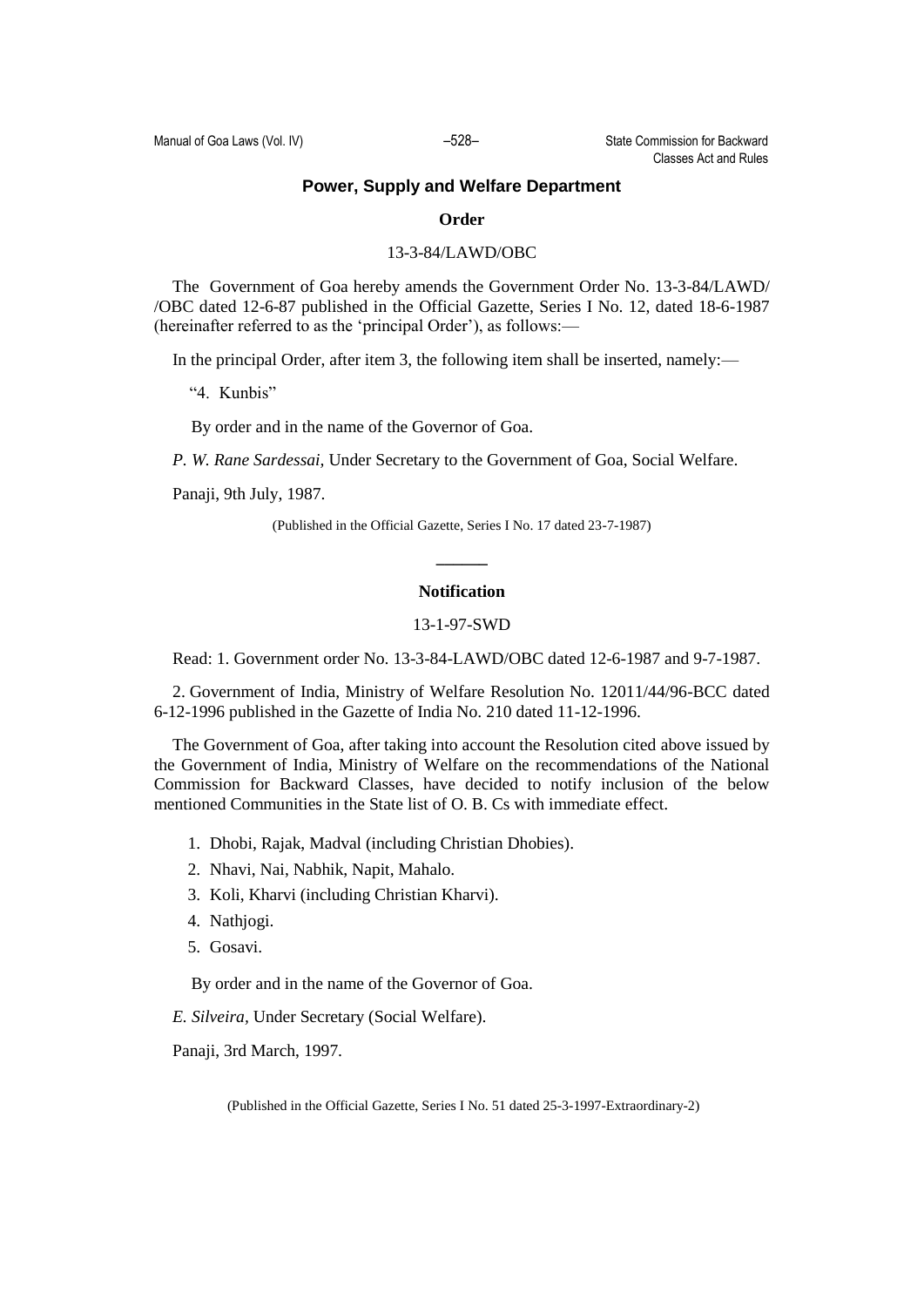### **Power, Supply and Welfare Department**

#### **Order**

#### 13-3-84/LAWD/OBC

The Government of Goa hereby amends the Government Order No. 13-3-84/LAWD/ /OBC dated 12-6-87 published in the Official Gazette, Series I No. 12, dated 18-6-1987 (hereinafter referred to as the 'principal Order'), as follows:—

In the principal Order, after item 3, the following item shall be inserted, namely:—

"4. Kunbis"

By order and in the name of the Governor of Goa.

*P. W. Rane Sardessai,* Under Secretary to the Government of Goa, Social Welfare.

Panaji, 9th July, 1987.

(Published in the Official Gazette, Series I No. 17 dated 23-7-1987)

#### **Notification**

**\_\_\_\_\_\_**

#### 13-1-97-SWD

Read: 1. Government order No. 13-3-84-LAWD/OBC dated 12-6-1987 and 9-7-1987.

2. Government of India, Ministry of Welfare Resolution No. 12011/44/96-BCC dated 6-12-1996 published in the Gazette of India No. 210 dated 11-12-1996.

The Government of Goa, after taking into account the Resolution cited above issued by the Government of India, Ministry of Welfare on the recommendations of the National Commission for Backward Classes, have decided to notify inclusion of the below mentioned Communities in the State list of O. B. Cs with immediate effect.

- 1. Dhobi, Rajak, Madval (including Christian Dhobies).
- 2. Nhavi, Nai, Nabhik, Napit, Mahalo.
- 3. Koli, Kharvi (including Christian Kharvi).
- 4. Nathjogi.
- 5. Gosavi.

By order and in the name of the Governor of Goa.

*E. Silveira,* Under Secretary (Social Welfare).

Panaji, 3rd March, 1997.

(Published in the Official Gazette, Series I No. 51 dated 25-3-1997-Extraordinary-2)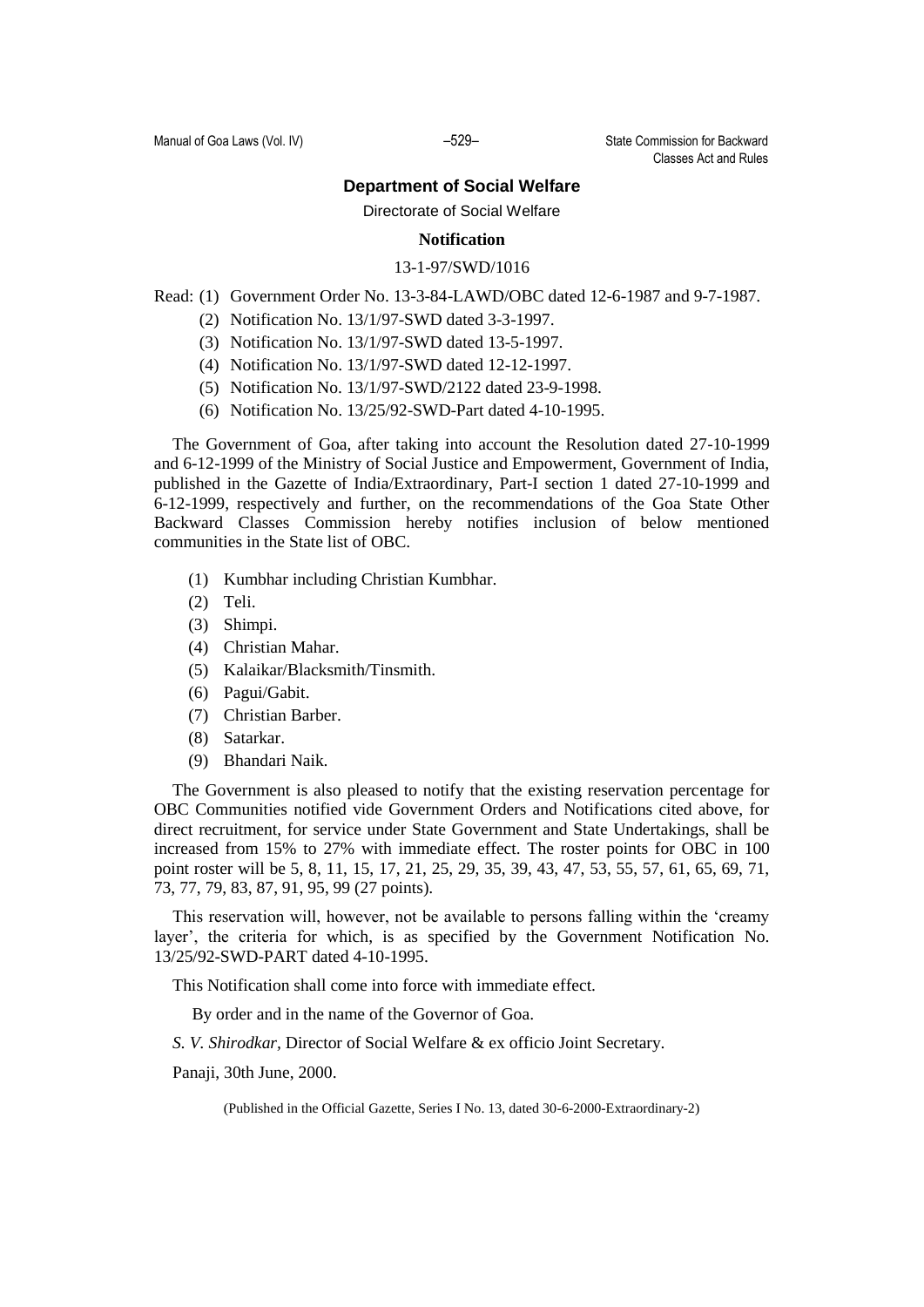Classes Act and Rules

#### **Department of Social Welfare**

Directorate of Social Welfare

#### **Notification**

#### 13-1-97/SWD/1016

Read: (1) Government Order No. 13-3-84-LAWD/OBC dated 12-6-1987 and 9-7-1987.

- (2) Notification No. 13/1/97-SWD dated 3-3-1997.
- (3) Notification No. 13/1/97-SWD dated 13-5-1997.
- (4) Notification No. 13/1/97-SWD dated 12-12-1997.
- (5) Notification No. 13/1/97-SWD/2122 dated 23-9-1998.
- (6) Notification No. 13/25/92-SWD-Part dated 4-10-1995.

The Government of Goa, after taking into account the Resolution dated 27-10-1999 and 6-12-1999 of the Ministry of Social Justice and Empowerment, Government of India, published in the Gazette of India/Extraordinary, Part-I section 1 dated 27-10-1999 and 6-12-1999, respectively and further, on the recommendations of the Goa State Other Backward Classes Commission hereby notifies inclusion of below mentioned communities in the State list of OBC.

- (1) Kumbhar including Christian Kumbhar.
- (2) Teli.
- (3) Shimpi.
- (4) Christian Mahar.
- (5) Kalaikar/Blacksmith/Tinsmith.
- (6) Pagui/Gabit.
- (7) Christian Barber.
- (8) Satarkar.
- (9) Bhandari Naik.

The Government is also pleased to notify that the existing reservation percentage for OBC Communities notified vide Government Orders and Notifications cited above, for direct recruitment, for service under State Government and State Undertakings, shall be increased from 15% to 27% with immediate effect. The roster points for OBC in 100 point roster will be 5, 8, 11, 15, 17, 21, 25, 29, 35, 39, 43, 47, 53, 55, 57, 61, 65, 69, 71, 73, 77, 79, 83, 87, 91, 95, 99 (27 points).

This reservation will, however, not be available to persons falling within the 'creamy layer', the criteria for which, is as specified by the Government Notification No. 13/25/92-SWD-PART dated 4-10-1995.

This Notification shall come into force with immediate effect.

By order and in the name of the Governor of Goa.

*S. V. Shirodkar,* Director of Social Welfare & ex officio Joint Secretary.

Panaji, 30th June, 2000.

(Published in the Official Gazette, Series I No. 13, dated 30-6-2000-Extraordinary-2)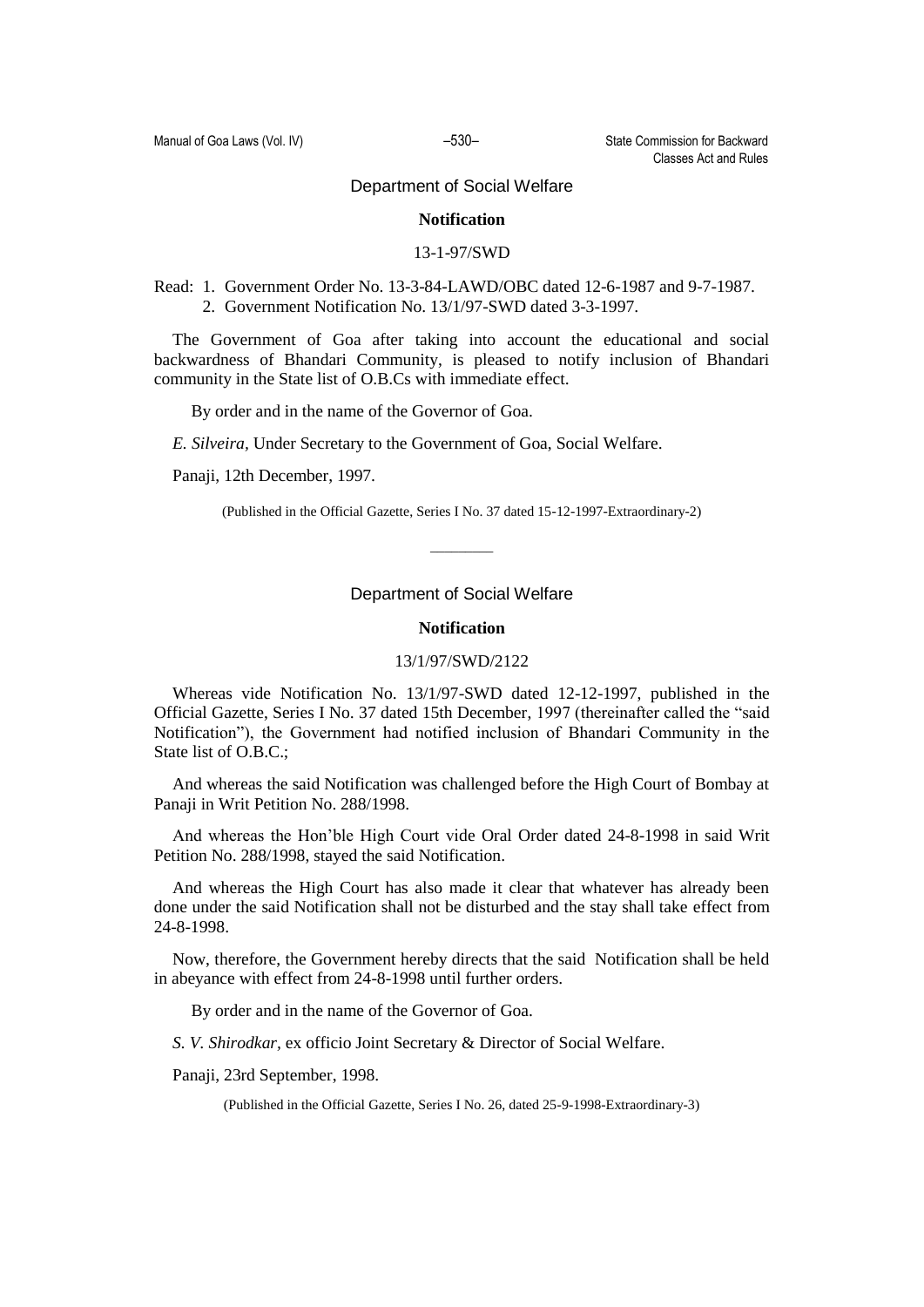#### Department of Social Welfare

#### **Notification**

#### 13-1-97/SWD

#### Read: 1. Government Order No. 13-3-84-LAWD/OBC dated 12-6-1987 and 9-7-1987. 2. Government Notification No. 13/1/97-SWD dated 3-3-1997.

The Government of Goa after taking into account the educational and social backwardness of Bhandari Community, is pleased to notify inclusion of Bhandari community in the State list of O.B.Cs with immediate effect.

By order and in the name of the Governor of Goa.

*E. Silveira,* Under Secretary to the Government of Goa, Social Welfare.

Panaji, 12th December, 1997.

(Published in the Official Gazette, Series I No. 37 dated 15-12-1997-Extraordinary-2)

 $\overline{\phantom{a}}$ 

#### Department of Social Welfare

#### **Notification**

#### 13/1/97/SWD/2122

Whereas vide Notification No. 13/1/97-SWD dated 12-12-1997, published in the Official Gazette, Series I No. 37 dated 15th December, 1997 (thereinafter called the "said Notification‖), the Government had notified inclusion of Bhandari Community in the State list of O.B.C.;

And whereas the said Notification was challenged before the High Court of Bombay at Panaji in Writ Petition No. 288/1998.

And whereas the Hon'ble High Court vide Oral Order dated 24-8-1998 in said Writ Petition No. 288/1998, stayed the said Notification.

And whereas the High Court has also made it clear that whatever has already been done under the said Notification shall not be disturbed and the stay shall take effect from 24-8-1998.

Now, therefore, the Government hereby directs that the said Notification shall be held in abeyance with effect from 24-8-1998 until further orders.

By order and in the name of the Governor of Goa.

*S. V. Shirodkar,* ex officio Joint Secretary & Director of Social Welfare.

Panaji, 23rd September, 1998.

(Published in the Official Gazette, Series I No. 26, dated 25-9-1998-Extraordinary-3)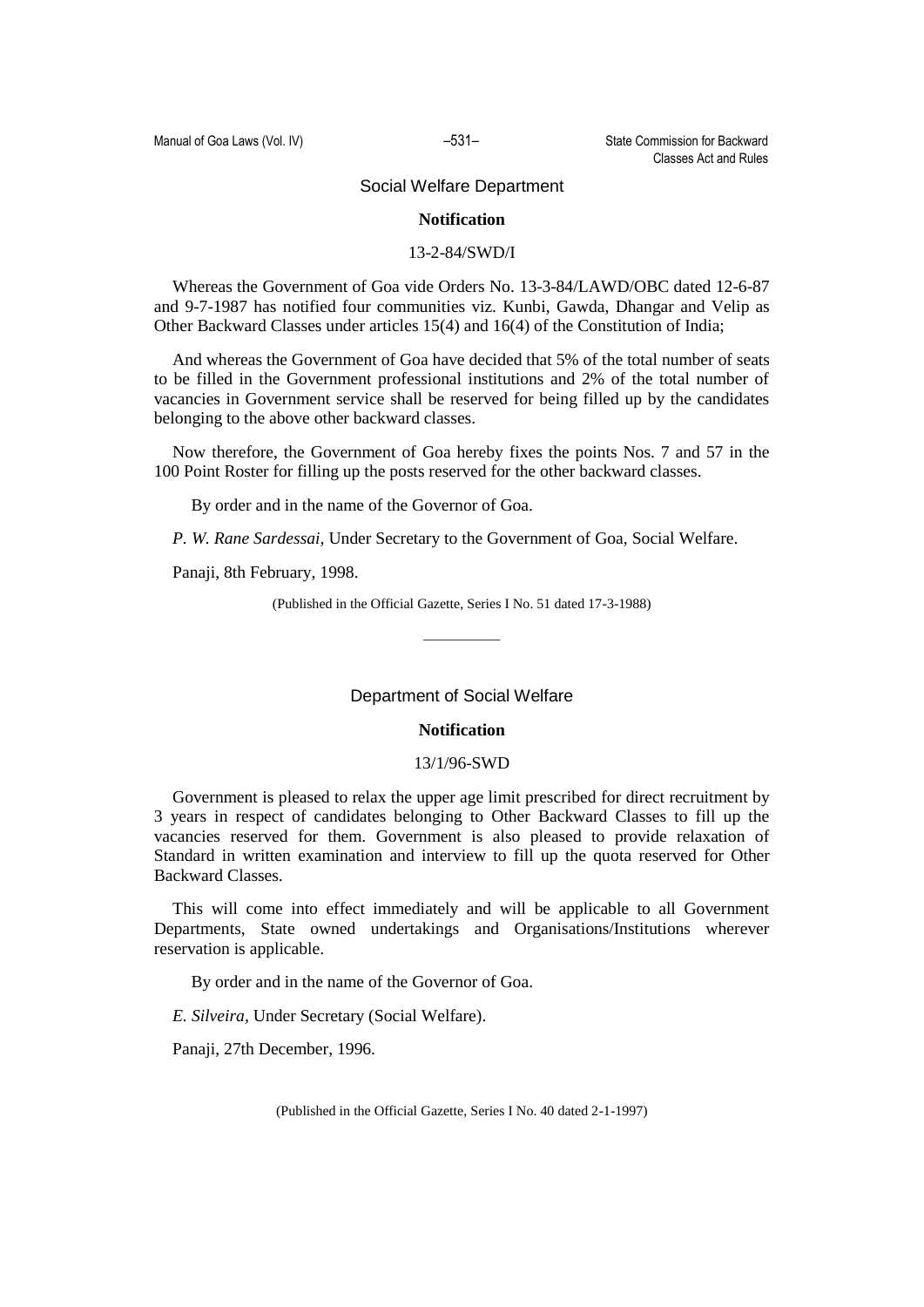#### Social Welfare Department

#### **Notification**

#### 13-2-84/SWD/I

Whereas the Government of Goa vide Orders No. 13-3-84/LAWD/OBC dated 12-6-87 and 9-7-1987 has notified four communities viz. Kunbi, Gawda, Dhangar and Velip as Other Backward Classes under articles 15(4) and 16(4) of the Constitution of India;

And whereas the Government of Goa have decided that 5% of the total number of seats to be filled in the Government professional institutions and 2% of the total number of vacancies in Government service shall be reserved for being filled up by the candidates belonging to the above other backward classes.

Now therefore, the Government of Goa hereby fixes the points Nos. 7 and 57 in the 100 Point Roster for filling up the posts reserved for the other backward classes.

By order and in the name of the Governor of Goa.

*P. W. Rane Sardessai,* Under Secretary to the Government of Goa, Social Welfare.

Panaji, 8th February, 1998.

(Published in the Official Gazette, Series I No. 51 dated 17-3-1988)  $\overline{\phantom{a}}$ 

#### Department of Social Welfare

#### **Notification**

#### 13/1/96-SWD

Government is pleased to relax the upper age limit prescribed for direct recruitment by 3 years in respect of candidates belonging to Other Backward Classes to fill up the vacancies reserved for them. Government is also pleased to provide relaxation of Standard in written examination and interview to fill up the quota reserved for Other Backward Classes.

This will come into effect immediately and will be applicable to all Government Departments, State owned undertakings and Organisations/Institutions wherever reservation is applicable.

By order and in the name of the Governor of Goa.

*E. Silveira,* Under Secretary (Social Welfare).

Panaji, 27th December, 1996.

(Published in the Official Gazette, Series I No. 40 dated 2-1-1997)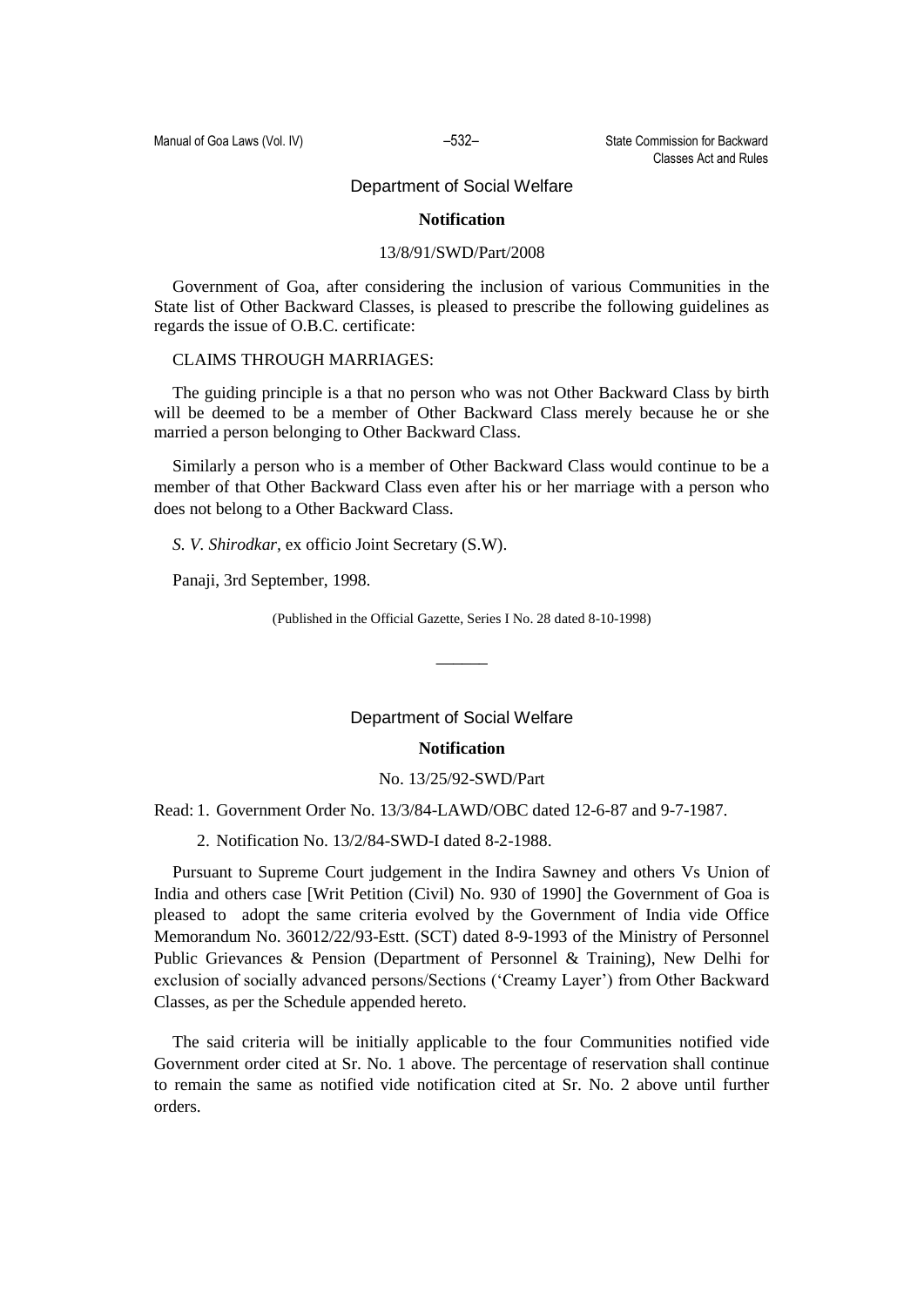#### Department of Social Welfare

#### **Notification**

#### 13/8/91/SWD/Part/2008

Government of Goa, after considering the inclusion of various Communities in the State list of Other Backward Classes, is pleased to prescribe the following guidelines as regards the issue of O.B.C. certificate:

#### CLAIMS THROUGH MARRIAGES:

The guiding principle is a that no person who was not Other Backward Class by birth will be deemed to be a member of Other Backward Class merely because he or she married a person belonging to Other Backward Class.

Similarly a person who is a member of Other Backward Class would continue to be a member of that Other Backward Class even after his or her marriage with a person who does not belong to a Other Backward Class.

*S. V. Shirodkar,* ex officio Joint Secretary (S.W).

Panaji, 3rd September, 1998.

(Published in the Official Gazette, Series I No. 28 dated 8-10-1998)

 $\overline{\phantom{a}}$ 

#### Department of Social Welfare

#### **Notification**

#### No. 13/25/92-SWD/Part

Read: 1. Government Order No. 13/3/84-LAWD/OBC dated 12-6-87 and 9-7-1987.

2. Notification No. 13/2/84-SWD-I dated 8-2-1988.

Pursuant to Supreme Court judgement in the Indira Sawney and others Vs Union of India and others case [Writ Petition (Civil) No. 930 of 1990] the Government of Goa is pleased to adopt the same criteria evolved by the Government of India vide Office Memorandum No. 36012/22/93-Estt. (SCT) dated 8-9-1993 of the Ministry of Personnel Public Grievances & Pension (Department of Personnel & Training), New Delhi for exclusion of socially advanced persons/Sections (‗Creamy Layer') from Other Backward Classes, as per the Schedule appended hereto.

The said criteria will be initially applicable to the four Communities notified vide Government order cited at Sr. No. 1 above. The percentage of reservation shall continue to remain the same as notified vide notification cited at Sr. No. 2 above until further orders.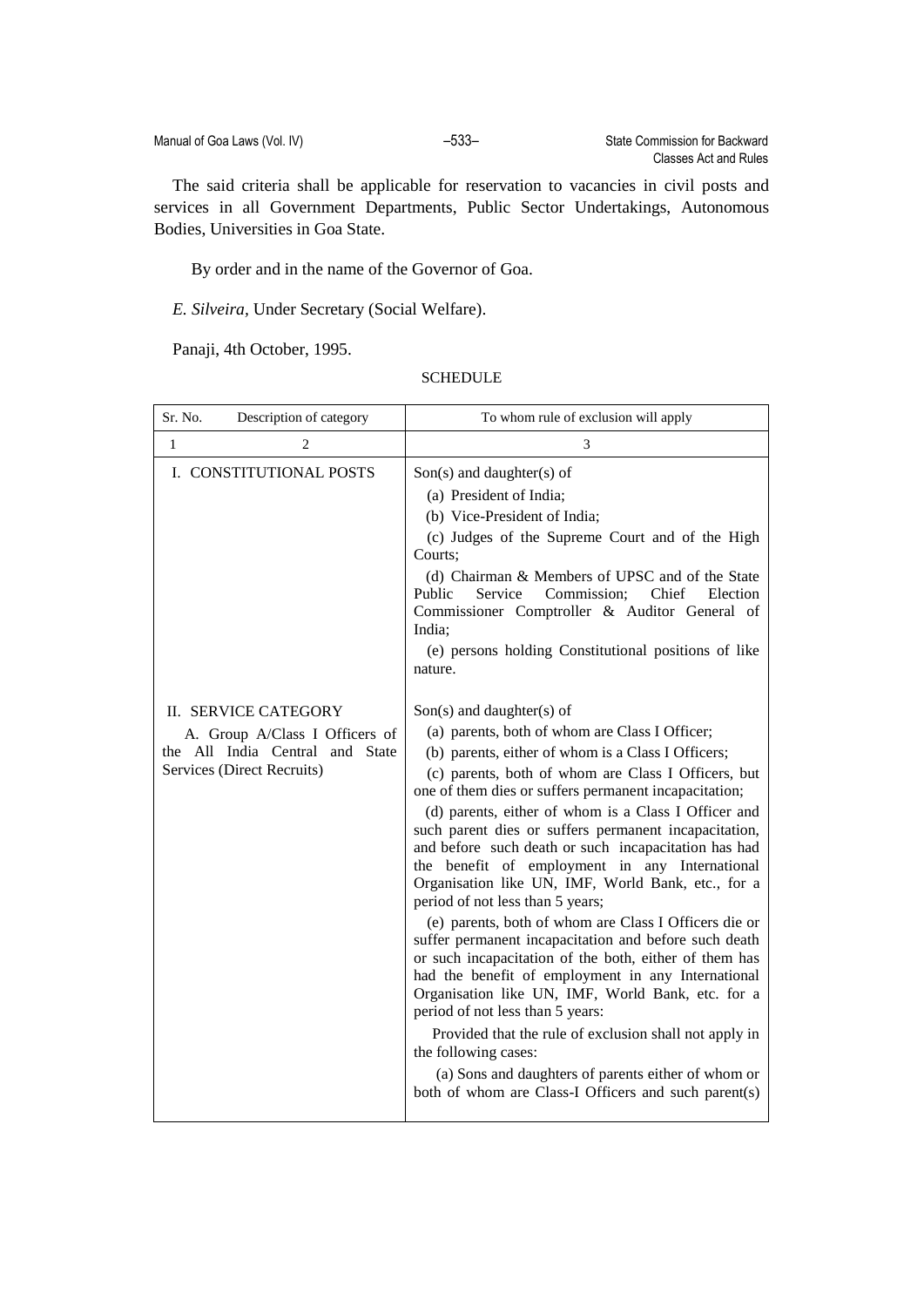The said criteria shall be applicable for reservation to vacancies in civil posts and services in all Government Departments, Public Sector Undertakings, Autonomous Bodies, Universities in Goa State.

By order and in the name of the Governor of Goa.

*E. Silveira,* Under Secretary (Social Welfare).

Panaji, 4th October, 1995.

| Sr. No.<br>Description of category                                                                                             | To whom rule of exclusion will apply                                                                                                                                                                                                                                                                                                                                                                                                                                                                                                                                                                                                                                                                                                                                                                                                                                                                                                                                                                                                                                                                 |
|--------------------------------------------------------------------------------------------------------------------------------|------------------------------------------------------------------------------------------------------------------------------------------------------------------------------------------------------------------------------------------------------------------------------------------------------------------------------------------------------------------------------------------------------------------------------------------------------------------------------------------------------------------------------------------------------------------------------------------------------------------------------------------------------------------------------------------------------------------------------------------------------------------------------------------------------------------------------------------------------------------------------------------------------------------------------------------------------------------------------------------------------------------------------------------------------------------------------------------------------|
| 1<br>2                                                                                                                         | 3                                                                                                                                                                                                                                                                                                                                                                                                                                                                                                                                                                                                                                                                                                                                                                                                                                                                                                                                                                                                                                                                                                    |
| I. CONSTITUTIONAL POSTS                                                                                                        | $Son(s)$ and daughter(s) of<br>(a) President of India;<br>(b) Vice-President of India;<br>(c) Judges of the Supreme Court and of the High<br>Courts;<br>(d) Chairman & Members of UPSC and of the State<br>Public<br>Service<br>Commission;<br>Chief<br>Election<br>Commissioner Comptroller & Auditor General of<br>India;<br>(e) persons holding Constitutional positions of like<br>nature.                                                                                                                                                                                                                                                                                                                                                                                                                                                                                                                                                                                                                                                                                                       |
| <b>II. SERVICE CATEGORY</b><br>A. Group A/Class I Officers of<br>the All India Central and State<br>Services (Direct Recruits) | $Son(s)$ and daughter(s) of<br>(a) parents, both of whom are Class I Officer;<br>(b) parents, either of whom is a Class I Officers;<br>(c) parents, both of whom are Class I Officers, but<br>one of them dies or suffers permanent incapacitation;<br>(d) parents, either of whom is a Class I Officer and<br>such parent dies or suffers permanent incapacitation,<br>and before such death or such incapacitation has had<br>the benefit of employment in any International<br>Organisation like UN, IMF, World Bank, etc., for a<br>period of not less than 5 years;<br>(e) parents, both of whom are Class I Officers die or<br>suffer permanent incapacitation and before such death<br>or such incapacitation of the both, either of them has<br>had the benefit of employment in any International<br>Organisation like UN, IMF, World Bank, etc. for a<br>period of not less than 5 years:<br>Provided that the rule of exclusion shall not apply in<br>the following cases:<br>(a) Sons and daughters of parents either of whom or<br>both of whom are Class-I Officers and such parent(s) |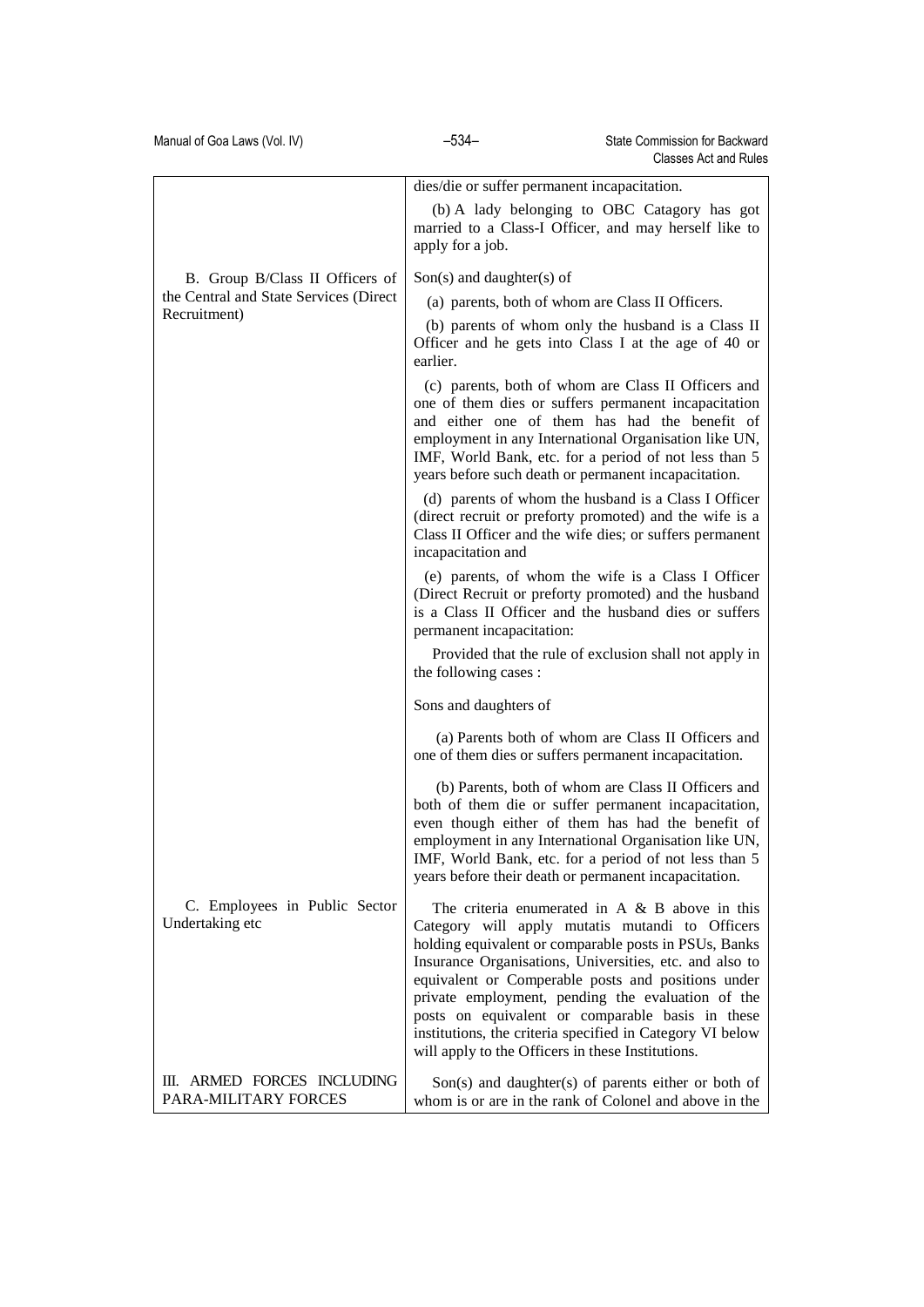|                                                                                           | dies/die or suffer permanent incapacitation.                                                                                                                                                                                                                                                                                                                                                                                                                                                              |
|-------------------------------------------------------------------------------------------|-----------------------------------------------------------------------------------------------------------------------------------------------------------------------------------------------------------------------------------------------------------------------------------------------------------------------------------------------------------------------------------------------------------------------------------------------------------------------------------------------------------|
| B. Group B/Class II Officers of<br>the Central and State Services (Direct<br>Recruitment) | (b) A lady belonging to OBC Catagory has got<br>married to a Class-I Officer, and may herself like to<br>apply for a job.                                                                                                                                                                                                                                                                                                                                                                                 |
|                                                                                           | $Son(s)$ and daughter(s) of                                                                                                                                                                                                                                                                                                                                                                                                                                                                               |
|                                                                                           | (a) parents, both of whom are Class II Officers.                                                                                                                                                                                                                                                                                                                                                                                                                                                          |
|                                                                                           | (b) parents of whom only the husband is a Class II<br>Officer and he gets into Class I at the age of 40 or<br>earlier.                                                                                                                                                                                                                                                                                                                                                                                    |
|                                                                                           | (c) parents, both of whom are Class II Officers and<br>one of them dies or suffers permanent incapacitation<br>and either one of them has had the benefit of<br>employment in any International Organisation like UN,<br>IMF, World Bank, etc. for a period of not less than 5<br>years before such death or permanent incapacitation.                                                                                                                                                                    |
|                                                                                           | (d) parents of whom the husband is a Class I Officer<br>(direct recruit or preforty promoted) and the wife is a<br>Class II Officer and the wife dies; or suffers permanent<br>incapacitation and                                                                                                                                                                                                                                                                                                         |
|                                                                                           | (e) parents, of whom the wife is a Class I Officer<br>(Direct Recruit or preforty promoted) and the husband<br>is a Class II Officer and the husband dies or suffers<br>permanent incapacitation:                                                                                                                                                                                                                                                                                                         |
|                                                                                           | Provided that the rule of exclusion shall not apply in<br>the following cases :                                                                                                                                                                                                                                                                                                                                                                                                                           |
|                                                                                           | Sons and daughters of                                                                                                                                                                                                                                                                                                                                                                                                                                                                                     |
|                                                                                           | (a) Parents both of whom are Class II Officers and<br>one of them dies or suffers permanent incapacitation.                                                                                                                                                                                                                                                                                                                                                                                               |
|                                                                                           | (b) Parents, both of whom are Class II Officers and<br>both of them die or suffer permanent incapacitation,<br>even though either of them has had the benefit of<br>employment in any International Organisation like UN,<br>IMF, World Bank, etc. for a period of not less than 5<br>years before their death or permanent incapacitation.                                                                                                                                                               |
| C. Employees in Public Sector<br>Undertaking etc                                          | The criteria enumerated in $A \& B$ above in this<br>Category will apply mutatis mutandi to Officers<br>holding equivalent or comparable posts in PSUs, Banks<br>Insurance Organisations, Universities, etc. and also to<br>equivalent or Comperable posts and positions under<br>private employment, pending the evaluation of the<br>posts on equivalent or comparable basis in these<br>institutions, the criteria specified in Category VI below<br>will apply to the Officers in these Institutions. |
| III. ARMED FORCES INCLUDING<br>PARA-MILITARY FORCES                                       | Son(s) and daughter(s) of parents either or both of<br>whom is or are in the rank of Colonel and above in the                                                                                                                                                                                                                                                                                                                                                                                             |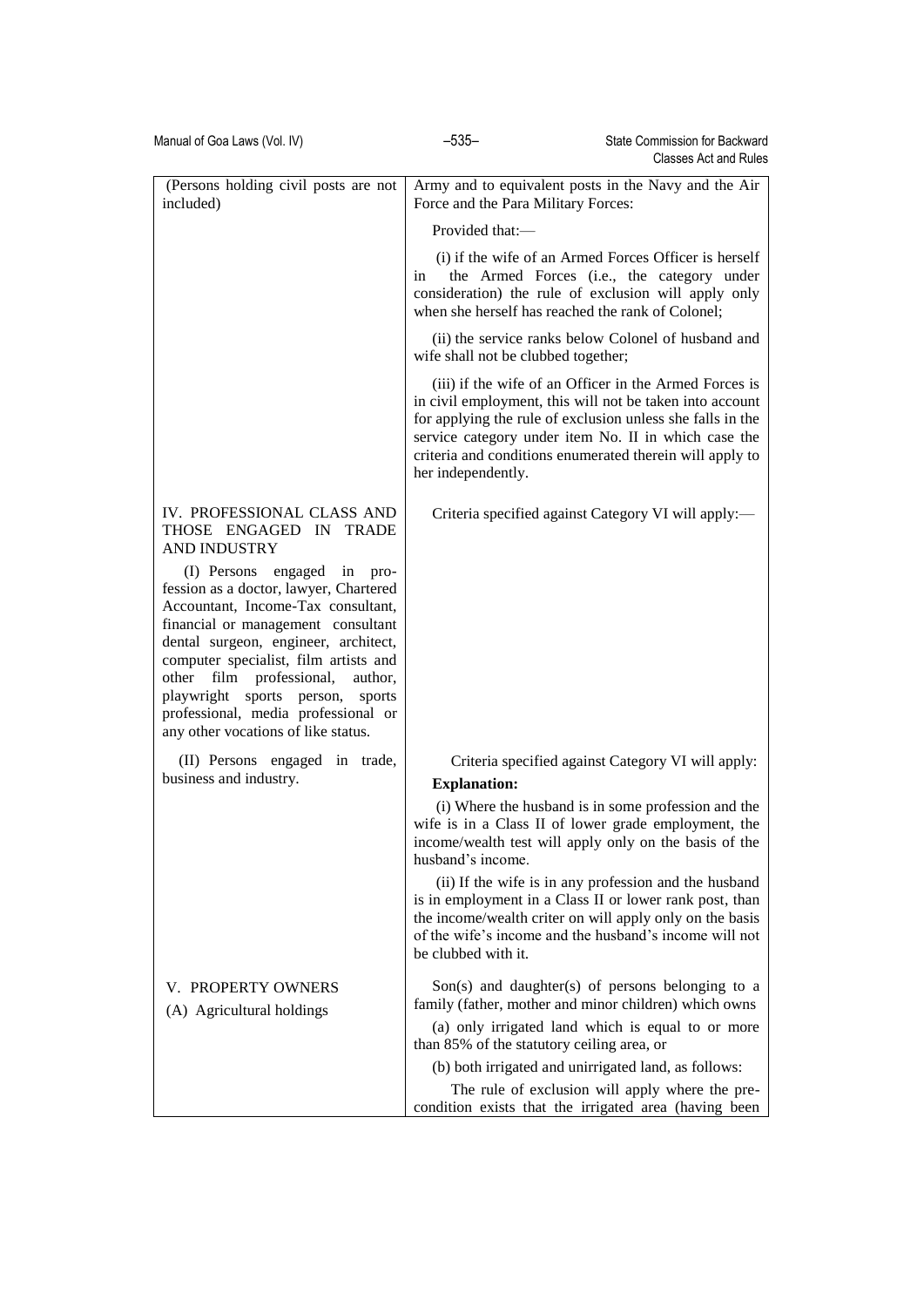| (Persons holding civil posts are not<br>included)                                                                                                                                                                                                                                                                                                                                                 | Army and to equivalent posts in the Navy and the Air<br>Force and the Para Military Forces:                                                                                                                                                                                                                                |
|---------------------------------------------------------------------------------------------------------------------------------------------------------------------------------------------------------------------------------------------------------------------------------------------------------------------------------------------------------------------------------------------------|----------------------------------------------------------------------------------------------------------------------------------------------------------------------------------------------------------------------------------------------------------------------------------------------------------------------------|
|                                                                                                                                                                                                                                                                                                                                                                                                   | Provided that:-                                                                                                                                                                                                                                                                                                            |
|                                                                                                                                                                                                                                                                                                                                                                                                   | (i) if the wife of an Armed Forces Officer is herself<br>the Armed Forces (i.e., the category under<br>in<br>consideration) the rule of exclusion will apply only<br>when she herself has reached the rank of Colonel;                                                                                                     |
|                                                                                                                                                                                                                                                                                                                                                                                                   | (ii) the service ranks below Colonel of husband and<br>wife shall not be clubbed together;                                                                                                                                                                                                                                 |
|                                                                                                                                                                                                                                                                                                                                                                                                   | (iii) if the wife of an Officer in the Armed Forces is<br>in civil employment, this will not be taken into account<br>for applying the rule of exclusion unless she falls in the<br>service category under item No. II in which case the<br>criteria and conditions enumerated therein will apply to<br>her independently. |
| IV. PROFESSIONAL CLASS AND<br>THOSE ENGAGED IN TRADE<br><b>AND INDUSTRY</b>                                                                                                                                                                                                                                                                                                                       | Criteria specified against Category VI will apply:-                                                                                                                                                                                                                                                                        |
| (I) Persons engaged in pro-<br>fession as a doctor, lawyer, Chartered<br>Accountant, Income-Tax consultant,<br>financial or management consultant<br>dental surgeon, engineer, architect,<br>computer specialist, film artists and<br>film professional,<br>other<br>author,<br>playwright sports person,<br>sports<br>professional, media professional or<br>any other vocations of like status. |                                                                                                                                                                                                                                                                                                                            |
| (II) Persons engaged in trade,<br>business and industry.                                                                                                                                                                                                                                                                                                                                          | Criteria specified against Category VI will apply:                                                                                                                                                                                                                                                                         |
|                                                                                                                                                                                                                                                                                                                                                                                                   | <b>Explanation:</b><br>(i) Where the husband is in some profession and the<br>wife is in a Class II of lower grade employment, the<br>income/wealth test will apply only on the basis of the<br>husband's income.                                                                                                          |
|                                                                                                                                                                                                                                                                                                                                                                                                   | (ii) If the wife is in any profession and the husband<br>is in employment in a Class II or lower rank post, than<br>the income/wealth criter on will apply only on the basis<br>of the wife's income and the husband's income will not<br>be clubbed with it.                                                              |
| V. PROPERTY OWNERS<br>(A) Agricultural holdings                                                                                                                                                                                                                                                                                                                                                   | Son(s) and daughter(s) of persons belonging to a<br>family (father, mother and minor children) which owns                                                                                                                                                                                                                  |
|                                                                                                                                                                                                                                                                                                                                                                                                   | (a) only irrigated land which is equal to or more<br>than 85% of the statutory ceiling area, or                                                                                                                                                                                                                            |
|                                                                                                                                                                                                                                                                                                                                                                                                   | (b) both irrigated and unirrigated land, as follows:                                                                                                                                                                                                                                                                       |
|                                                                                                                                                                                                                                                                                                                                                                                                   | The rule of exclusion will apply where the pre-<br>condition exists that the irrigated area (having been                                                                                                                                                                                                                   |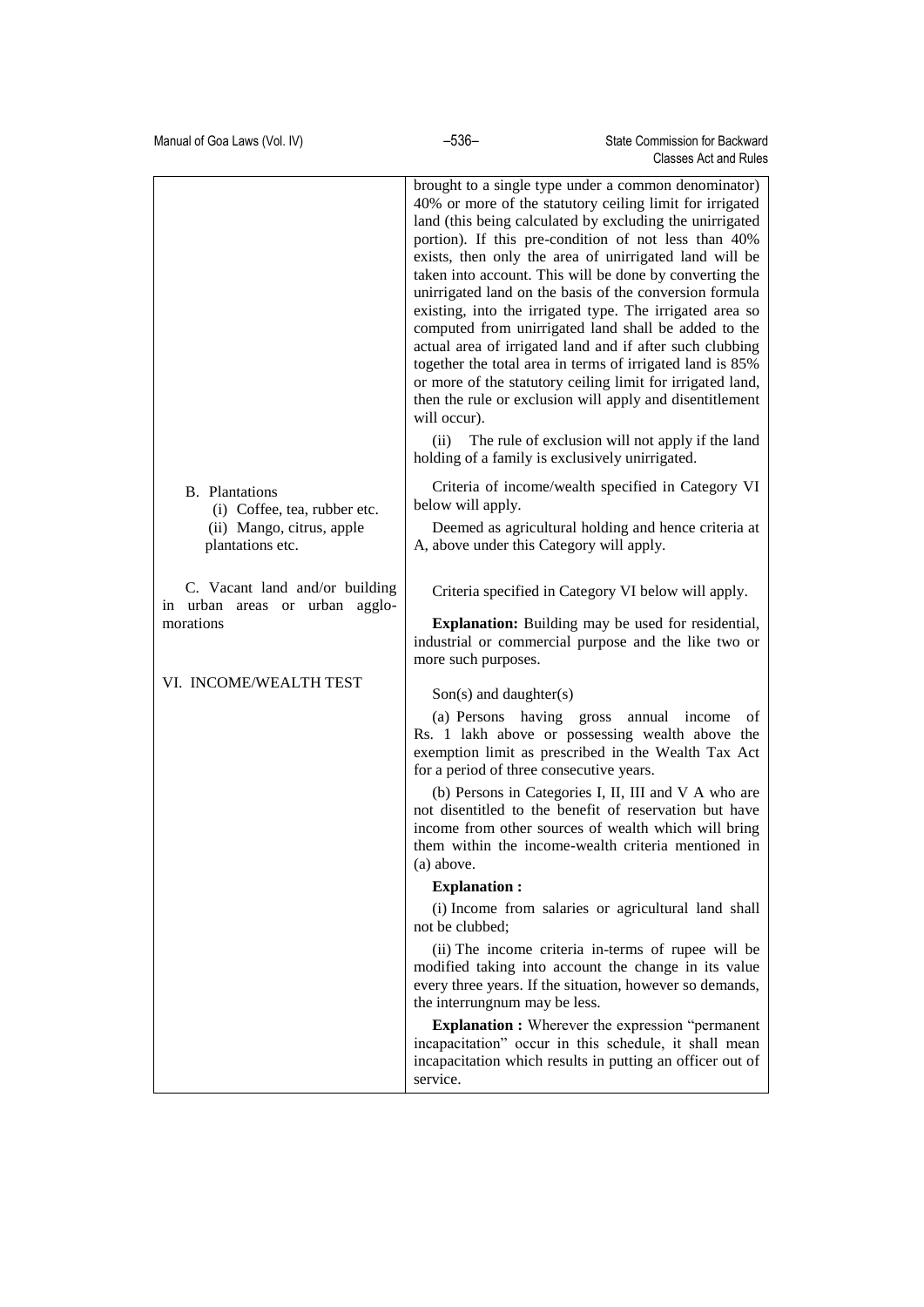|                                                                               | brought to a single type under a common denominator)<br>40% or more of the statutory ceiling limit for irrigated<br>land (this being calculated by excluding the unirrigated<br>portion). If this pre-condition of not less than 40%<br>exists, then only the area of unirrigated land will be<br>taken into account. This will be done by converting the<br>unirrigated land on the basis of the conversion formula<br>existing, into the irrigated type. The irrigated area so<br>computed from unirrigated land shall be added to the<br>actual area of irrigated land and if after such clubbing<br>together the total area in terms of irrigated land is 85%<br>or more of the statutory ceiling limit for irrigated land,<br>then the rule or exclusion will apply and disentitlement<br>will occur).<br>(ii)<br>The rule of exclusion will not apply if the land<br>holding of a family is exclusively unirrigated. |
|-------------------------------------------------------------------------------|----------------------------------------------------------------------------------------------------------------------------------------------------------------------------------------------------------------------------------------------------------------------------------------------------------------------------------------------------------------------------------------------------------------------------------------------------------------------------------------------------------------------------------------------------------------------------------------------------------------------------------------------------------------------------------------------------------------------------------------------------------------------------------------------------------------------------------------------------------------------------------------------------------------------------|
| <b>B.</b> Plantations<br>(i) Coffee, tea, rubber etc.                         | Criteria of income/wealth specified in Category VI<br>below will apply.                                                                                                                                                                                                                                                                                                                                                                                                                                                                                                                                                                                                                                                                                                                                                                                                                                                    |
| (ii) Mango, citrus, apple<br>plantations etc.                                 | Deemed as agricultural holding and hence criteria at<br>A, above under this Category will apply.                                                                                                                                                                                                                                                                                                                                                                                                                                                                                                                                                                                                                                                                                                                                                                                                                           |
| C. Vacant land and/or building<br>in urban areas or urban agglo-<br>morations | Criteria specified in Category VI below will apply.<br><b>Explanation:</b> Building may be used for residential,<br>industrial or commercial purpose and the like two or<br>more such purposes.                                                                                                                                                                                                                                                                                                                                                                                                                                                                                                                                                                                                                                                                                                                            |
| VI. INCOME/WEALTH TEST                                                        | $Son(s)$ and daughter(s)                                                                                                                                                                                                                                                                                                                                                                                                                                                                                                                                                                                                                                                                                                                                                                                                                                                                                                   |
|                                                                               | (a) Persons having gross<br>annual<br>income<br>οf<br>Rs. 1 lakh above or possessing wealth above the<br>exemption limit as prescribed in the Wealth Tax Act<br>for a period of three consecutive years.                                                                                                                                                                                                                                                                                                                                                                                                                                                                                                                                                                                                                                                                                                                   |
|                                                                               | (b) Persons in Categories I, II, III and V A who are<br>not disentitled to the benefit of reservation but have<br>income from other sources of wealth which will bring<br>them within the income-wealth criteria mentioned in<br>(a) above.                                                                                                                                                                                                                                                                                                                                                                                                                                                                                                                                                                                                                                                                                |
|                                                                               | <b>Explanation:</b>                                                                                                                                                                                                                                                                                                                                                                                                                                                                                                                                                                                                                                                                                                                                                                                                                                                                                                        |
|                                                                               | (i) Income from salaries or agricultural land shall<br>not be clubbed;                                                                                                                                                                                                                                                                                                                                                                                                                                                                                                                                                                                                                                                                                                                                                                                                                                                     |
|                                                                               | (ii) The income criteria in-terms of rupee will be<br>modified taking into account the change in its value<br>every three years. If the situation, however so demands,<br>the interrungnum may be less.                                                                                                                                                                                                                                                                                                                                                                                                                                                                                                                                                                                                                                                                                                                    |
|                                                                               | <b>Explanation :</b> Wherever the expression "permanent<br>incapacitation" occur in this schedule, it shall mean<br>incapacitation which results in putting an officer out of<br>service.                                                                                                                                                                                                                                                                                                                                                                                                                                                                                                                                                                                                                                                                                                                                  |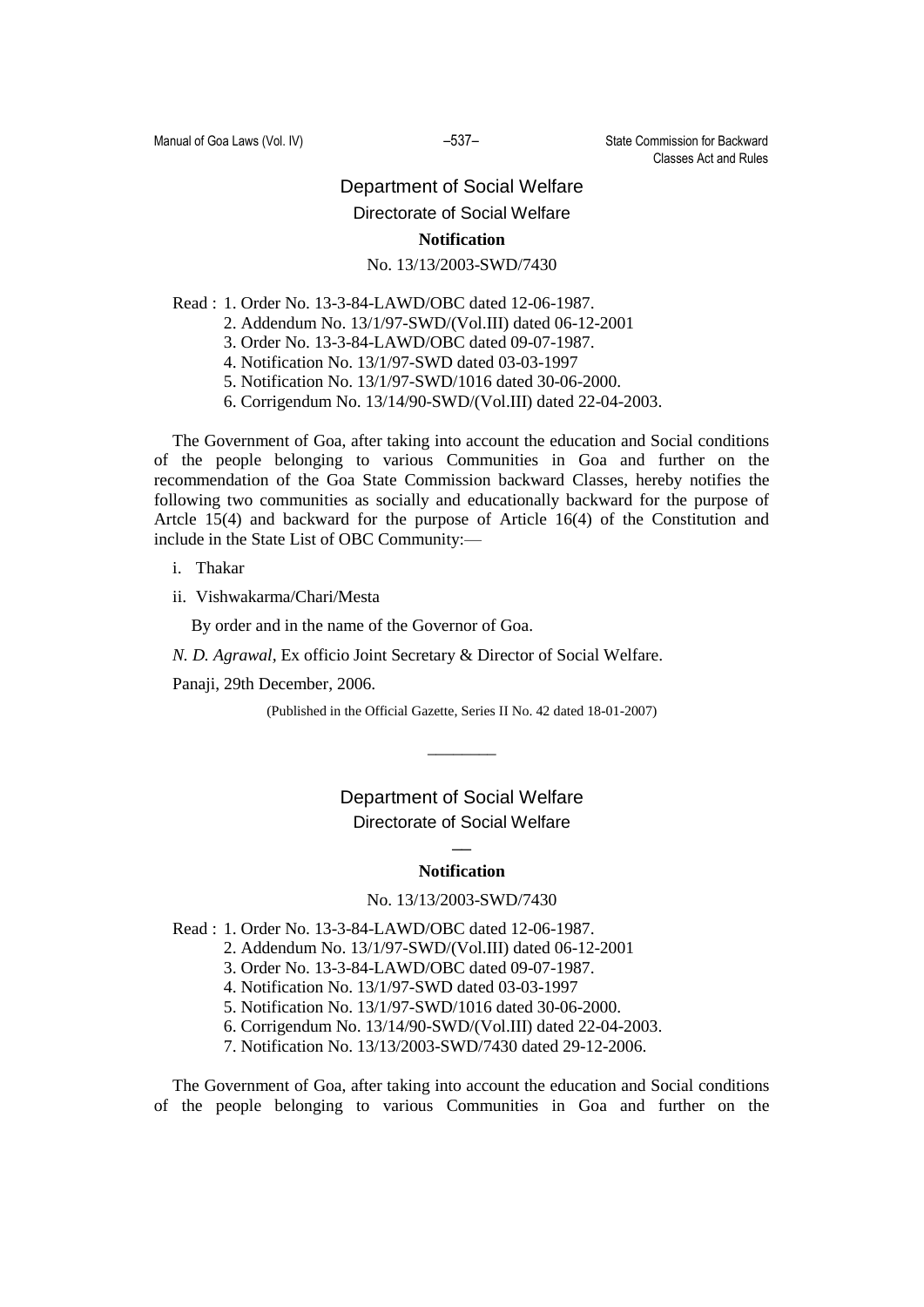Manual of Goa Laws (Vol. IV) – 537– State Commission for Backward Classes Act and Rules

# Department of Social Welfare Directorate of Social Welfare **Notification**

# No. 13/13/2003-SWD/7430

Read : 1. Order No. 13-3-84-LAWD/OBC dated 12-06-1987.

- 2. Addendum No. 13/1/97-SWD/(Vol.III) dated 06-12-2001
- 3. Order No. 13-3-84-LAWD/OBC dated 09-07-1987.
- 4. Notification No. 13/1/97-SWD dated 03-03-1997
- 5. Notification No. 13/1/97-SWD/1016 dated 30-06-2000.
- 6. Corrigendum No. 13/14/90-SWD/(Vol.III) dated 22-04-2003.

The Government of Goa, after taking into account the education and Social conditions of the people belonging to various Communities in Goa and further on the recommendation of the Goa State Commission backward Classes, hereby notifies the following two communities as socially and educationally backward for the purpose of Artcle 15(4) and backward for the purpose of Article 16(4) of the Constitution and include in the State List of OBC Community:—

- i. Thakar
- ii. Vishwakarma/Chari/Mesta

By order and in the name of the Governor of Goa.

*N. D. Agrawal,* Ex officio Joint Secretary & Director of Social Welfare.

Panaji, 29th December, 2006.

(Published in the Official Gazette, Series II No. 42 dated 18-01-2007)

 $\overline{\phantom{a}}$ 

Department of Social Welfare Directorate of Social Welfare

# $\overline{\phantom{a}}$ **Notification**

#### No. 13/13/2003-SWD/7430

Read : 1. Order No. 13-3-84-LAWD/OBC dated 12-06-1987.

- 2. Addendum No. 13/1/97-SWD/(Vol.III) dated 06-12-2001
	- 3. Order No. 13-3-84-LAWD/OBC dated 09-07-1987.
- 4. Notification No. 13/1/97-SWD dated 03-03-1997
- 5. Notification No. 13/1/97-SWD/1016 dated 30-06-2000.
- 6. Corrigendum No. 13/14/90-SWD/(Vol.III) dated 22-04-2003.
- 7. Notification No. 13/13/2003-SWD/7430 dated 29-12-2006.

The Government of Goa, after taking into account the education and Social conditions of the people belonging to various Communities in Goa and further on the